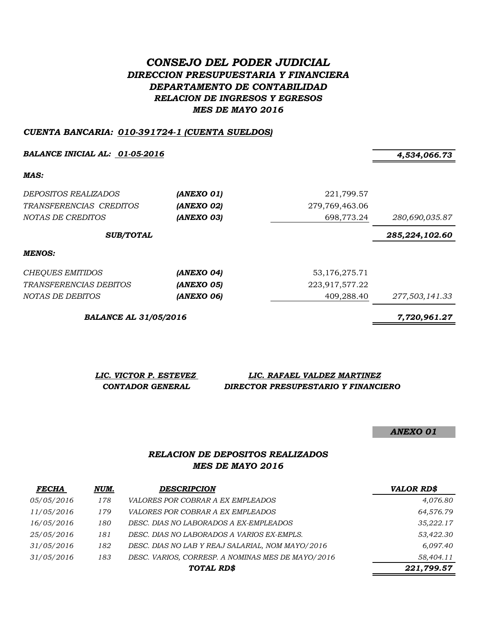# *CONSEJO DEL PODER JUDICIAL DIRECCION PRESUPUESTARIA Y FINANCIERA DEPARTAMENTO DE CONTABILIDAD RELACION DE INGRESOS Y EGRESOS MES DE MAYO 2016*

#### *CUENTA BANCARIA: 010-391724-1 (CUENTA SUELDOS)*

*BALANCE INICIAL AL: 01-05-2016 4,534,066.73*

*MAS:*

| DEPOSITOS REALIZADOS<br>TRANSFERENCIAS CREDITOS<br>NOTAS DE CREDITOS | (ANEXO 01)<br>(ANEXO 02)<br>(ANEXO 03) | 221,799.57<br>279,769,463.06<br>698,773.24 | 280,690,035.87 |
|----------------------------------------------------------------------|----------------------------------------|--------------------------------------------|----------------|
| <b>SUB/TOTAL</b>                                                     |                                        |                                            | 285,224,102.60 |
| MENOS:                                                               |                                        |                                            |                |
| <b>CHEQUES EMITIDOS</b>                                              | (ANEXO 04)                             | 53, 176, 275. 71                           |                |
| <i>TRANSFERENCIAS DEBITOS</i>                                        | (ANEXO 05)                             | 223,917,577.22                             |                |
| NOTAS DE DEBITOS                                                     | (ANEXO 06)                             | 409,288.40                                 | 277,503,141.33 |

*BALANCE AL 31/05/2016 7,720,961.27*

*LIC. VICTOR P. ESTEVEZ LIC. RAFAEL VALDEZ MARTINEZ CONTADOR GENERAL DIRECTOR PRESUPESTARIO Y FINANCIERO*

*ANEXO 01*

## *RELACION DE DEPOSITOS REALIZADOS MES DE MAYO 2016*

| <b>FECHA</b> | NUM. | <b>DESCRIPCION</b>                                | <b>VALOR RD\$</b> |
|--------------|------|---------------------------------------------------|-------------------|
| 05/05/2016   | 178  | <i>VALORES POR COBRAR A EX EMPLEADOS</i>          | 4,076.80          |
| 11/05/2016   | 179  | <i>VALORES POR COBRAR A EX EMPLEADOS</i>          | 64,576.79         |
| 16/05/2016   | 180  | DESC. DIAS NO LABORADOS A EX-EMPLEADOS            | 35,222.17         |
| 25/05/2016   | 181  | DESC. DIAS NO LABORADOS A VARIOS EX-EMPLS.        | 53,422.30         |
| 31/05/2016   | 182  | DESC. DIAS NO LAB Y REAJ SALARIAL, NOM MAYO/2016  | 6,097.40          |
| 31/05/2016   | 183  | DESC. VARIOS, CORRESP. A NOMINAS MES DE MAYO/2016 | 58,404.11         |
|              |      | TOTAL RD\$                                        | 221,799.57        |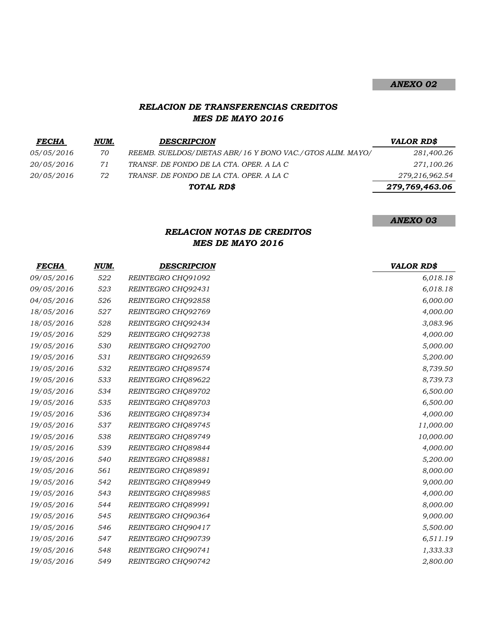# *RELACION DE TRANSFERENCIAS CREDITOS MES DE MAYO 2016*

| <b>FECHA</b>      | NUM. | <b>DESCRIPCION</b>                                        | <b>VALOR RD\$</b> |
|-------------------|------|-----------------------------------------------------------|-------------------|
| <i>05/05/2016</i> | 70   | REEMB. SUELDOS/DIETAS ABR/16 Y BONO VAC./GTOS ALIM. MAYO/ | 281,400.26        |
| <i>20/05/2016</i> | 71   | TRANSF. DE FONDO DE LA CTA. OPER. A LA C                  | 271,100.26        |
| <i>20/05/2016</i> | 72   | TRANSF. DE FONDO DE LA CTA. OPER. A LA C                  | 279,216,962.54    |
|                   |      | TOTAL RD\$                                                | 279,769,463.06    |
|                   |      |                                                           |                   |

*ANEXO 03*

# *RELACION NOTAS DE CREDITOS MES DE MAYO 2016*

| <i>FECHA</i> | NUM. | <b>DESCRIPCION</b> | <b>VALOR RD\$</b> |
|--------------|------|--------------------|-------------------|
| 09/05/2016   | 522  | REINTEGRO CHQ91092 | 6,018.18          |
| 09/05/2016   | 523  | REINTEGRO CHQ92431 | 6,018.18          |
| 04/05/2016   | 526  | REINTEGRO CHQ92858 | 6,000.00          |
| 18/05/2016   | 527  | REINTEGRO CHQ92769 | 4,000.00          |
| 18/05/2016   | 528  | REINTEGRO CHQ92434 | 3,083.96          |
| 19/05/2016   | 529  | REINTEGRO CHQ92738 | 4,000.00          |
| 19/05/2016   | 530  | REINTEGRO CHQ92700 | 5,000.00          |
| 19/05/2016   | 531  | REINTEGRO CHQ92659 | 5,200.00          |
| 19/05/2016   | 532  | REINTEGRO CHQ89574 | 8,739.50          |
| 19/05/2016   | 533  | REINTEGRO CHQ89622 | 8,739.73          |
| 19/05/2016   | 534  | REINTEGRO CHO89702 | 6,500.00          |
| 19/05/2016   | 535  | REINTEGRO CHQ89703 | 6,500.00          |
| 19/05/2016   | 536  | REINTEGRO CHQ89734 | 4,000.00          |
| 19/05/2016   | 537  | REINTEGRO CHQ89745 | 11,000.00         |
| 19/05/2016   | 538  | REINTEGRO CHQ89749 | 10,000.00         |
| 19/05/2016   | 539  | REINTEGRO CHQ89844 | 4,000.00          |
| 19/05/2016   | 540  | REINTEGRO CHQ89881 | 5,200.00          |
| 19/05/2016   | 561  | REINTEGRO CHQ89891 | 8,000.00          |
| 19/05/2016   | 542  | REINTEGRO CHQ89949 | 9,000.00          |
| 19/05/2016   | 543  | REINTEGRO CHQ89985 | 4,000.00          |
| 19/05/2016   | 544  | REINTEGRO CHQ89991 | 8,000.00          |
| 19/05/2016   | 545  | REINTEGRO CHQ90364 | 9,000.00          |
| 19/05/2016   | 546  | REINTEGRO CHQ90417 | 5,500.00          |
| 19/05/2016   | 547  | REINTEGRO CHQ90739 | 6,511.19          |
| 19/05/2016   | 548  | REINTEGRO CHQ90741 | 1,333.33          |
| 19/05/2016   | 549  | REINTEGRO CHQ90742 | 2,800.00          |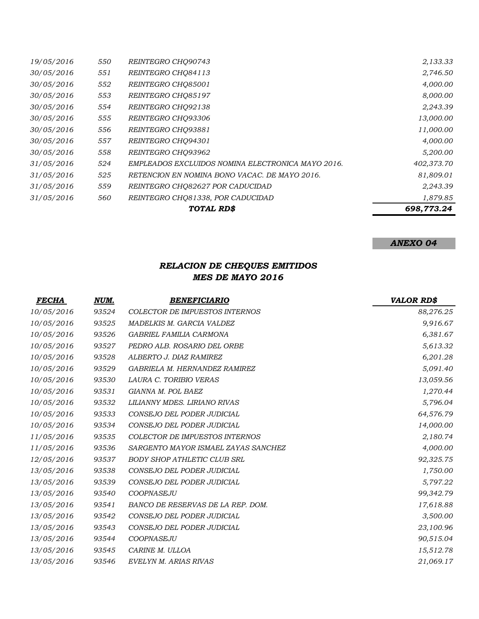|            |     | TOTAL RD\$                                        | 698,773.24 |
|------------|-----|---------------------------------------------------|------------|
| 31/05/2016 | 560 | REINTEGRO CHQ81338, POR CADUCIDAD                 | 1,879.85   |
| 31/05/2016 | 559 | REINTEGRO CHO82627 POR CADUCIDAD                  | 2,243.39   |
| 31/05/2016 | 525 | RETENCION EN NOMINA BONO VACAC. DE MAYO 2016.     | 81,809.01  |
| 31/05/2016 | 524 | EMPLEADOS EXCLUIDOS NOMINA ELECTRONICA MAYO 2016. | 402,373.70 |
| 30/05/2016 | 558 | REINTEGRO CHO93962                                | 5,200.00   |
| 30/05/2016 | 557 | REINTEGRO CHO94301                                | 4,000.00   |
| 30/05/2016 | 556 | REINTEGRO CHQ93881                                | 11,000.00  |
| 30/05/2016 | 555 | REINTEGRO CHO93306                                | 13,000.00  |
| 30/05/2016 | 554 | REINTEGRO CHO92138                                | 2,243.39   |
| 30/05/2016 | 553 | REINTEGRO CHO85197                                | 8,000.00   |
| 30/05/2016 | 552 | REINTEGRO CHO85001                                | 4,000.00   |
| 30/05/2016 | 551 | REINTEGRO CHQ84113                                | 2,746.50   |
| 19/05/2016 | 550 | REINTEGRO CHO90743                                | 2,133.33   |

# *RELACION DE CHEQUES EMITIDOS MES DE MAYO 2016*

| FECHA      | NUM.  | <b>BENEFICIARIO</b>                 | <b>VALOR RD\$</b> |
|------------|-------|-------------------------------------|-------------------|
| 10/05/2016 | 93524 | COLECTOR DE IMPUESTOS INTERNOS      | 88,276.25         |
| 10/05/2016 | 93525 | MADELKIS M. GARCIA VALDEZ           | 9,916.67          |
| 10/05/2016 | 93526 | GABRIEL FAMILIA CARMONA             | 6,381.67          |
| 10/05/2016 | 93527 | PEDRO ALB. ROSARIO DEL ORBE         | 5,613.32          |
| 10/05/2016 | 93528 | ALBERTO J. DIAZ RAMIREZ             | 6,201.28          |
| 10/05/2016 | 93529 | GABRIELA M. HERNANDEZ RAMIREZ       | 5,091.40          |
| 10/05/2016 | 93530 | LAURA C. TORIBIO VERAS              | 13,059.56         |
| 10/05/2016 | 93531 | GIANNA M. POL BAEZ                  | 1,270.44          |
| 10/05/2016 | 93532 | LILIANNY MDES. LIRIANO RIVAS        | 5,796.04          |
| 10/05/2016 | 93533 | CONSEJO DEL PODER JUDICIAL          | 64,576.79         |
| 10/05/2016 | 93534 | CONSEJO DEL PODER JUDICIAL          | 14,000.00         |
| 11/05/2016 | 93535 | COLECTOR DE IMPUESTOS INTERNOS      | 2,180.74          |
| 11/05/2016 | 93536 | SARGENTO MAYOR ISMAEL ZAYAS SANCHEZ | 4,000.00          |
| 12/05/2016 | 93537 | <b>BODY SHOP ATHLETIC CLUB SRL</b>  | 92,325.75         |
| 13/05/2016 | 93538 | CONSEJO DEL PODER JUDICIAL          | 1,750.00          |
| 13/05/2016 | 93539 | CONSEJO DEL PODER JUDICIAL          | 5,797.22          |
| 13/05/2016 | 93540 | COOPNASEJU                          | 99,342.79         |
| 13/05/2016 | 93541 | BANCO DE RESERVAS DE LA REP. DOM.   | 17,618.88         |
| 13/05/2016 | 93542 | CONSEJO DEL PODER JUDICIAL          | 3,500.00          |
| 13/05/2016 | 93543 | CONSEJO DEL PODER JUDICIAL          | 23,100.96         |
| 13/05/2016 | 93544 | COOPNASEJU                          | 90,515.04         |
| 13/05/2016 | 93545 | CARINE M. ULLOA                     | 15,512.78         |
| 13/05/2016 | 93546 | EVELYN M. ARIAS RIVAS               | 21,069.17         |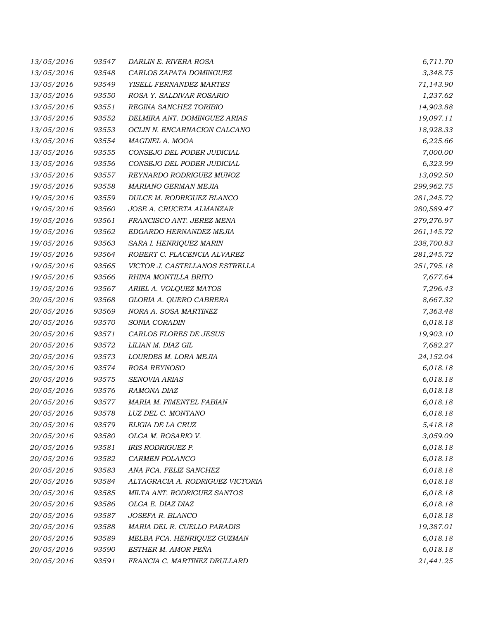| 13/05/2016 | 93547 | DARLIN E. RIVERA ROSA            | 6,711.70   |
|------------|-------|----------------------------------|------------|
| 13/05/2016 | 93548 | CARLOS ZAPATA DOMINGUEZ          | 3,348.75   |
| 13/05/2016 | 93549 | YISELL FERNANDEZ MARTES          | 71,143.90  |
| 13/05/2016 | 93550 | ROSA Y. SALDIVAR ROSARIO         | 1,237.62   |
| 13/05/2016 | 93551 | REGINA SANCHEZ TORIBIO           | 14,903.88  |
| 13/05/2016 | 93552 | DELMIRA ANT. DOMINGUEZ ARIAS     | 19,097.11  |
| 13/05/2016 | 93553 | OCLIN N. ENCARNACION CALCANO     | 18,928.33  |
| 13/05/2016 | 93554 | MAGDIEL A. MOOA                  | 6,225.66   |
| 13/05/2016 | 93555 | CONSEJO DEL PODER JUDICIAL       | 7,000.00   |
| 13/05/2016 | 93556 | CONSEJO DEL PODER JUDICIAL       | 6,323.99   |
| 13/05/2016 | 93557 | REYNARDO RODRIGUEZ MUNOZ         | 13,092.50  |
| 19/05/2016 | 93558 | MARIANO GERMAN MEJIA             | 299,962.75 |
| 19/05/2016 | 93559 | DULCE M. RODRIGUEZ BLANCO        | 281,245.72 |
| 19/05/2016 | 93560 | JOSE A. CRUCETA ALMANZAR         | 280,589.47 |
| 19/05/2016 | 93561 | FRANCISCO ANT. JEREZ MENA        | 279,276.97 |
| 19/05/2016 | 93562 | EDGARDO HERNANDEZ MEJIA          | 261,145.72 |
| 19/05/2016 | 93563 | SARA I. HENRIQUEZ MARIN          | 238,700.83 |
| 19/05/2016 | 93564 | ROBERT C. PLACENCIA ALVAREZ      | 281,245.72 |
| 19/05/2016 | 93565 | VICTOR J. CASTELLANOS ESTRELLA   | 251,795.18 |
| 19/05/2016 | 93566 | RHINA MONTILLA BRITO             | 7,677.64   |
| 19/05/2016 | 93567 | ARIEL A. VOLQUEZ MATOS           | 7,296.43   |
| 20/05/2016 | 93568 | GLORIA A. QUERO CABRERA          | 8,667.32   |
| 20/05/2016 | 93569 | NORA A. SOSA MARTINEZ            | 7,363.48   |
| 20/05/2016 | 93570 | SONIA CORADIN                    | 6,018.18   |
| 20/05/2016 | 93571 | CARLOS FLORES DE JESUS           | 19,903.10  |
| 20/05/2016 | 93572 | LILIAN M. DIAZ GIL               | 7,682.27   |
| 20/05/2016 | 93573 | LOURDES M. LORA MEJIA            | 24,152.04  |
| 20/05/2016 | 93574 | ROSA REYNOSO                     | 6,018.18   |
| 20/05/2016 | 93575 | SENOVIA ARIAS                    | 6,018.18   |
| 20/05/2016 | 93576 | RAMONA DIAZ                      | 6,018.18   |
| 20/05/2016 | 93577 | MARIA M. PIMENTEL FABIAN         | 6,018.18   |
| 20/05/2016 | 93578 | LUZ DEL C. MONTANO               | 6,018.18   |
| 20/05/2016 | 93579 | ELIGIA DE LA CRUZ                | 5,418.18   |
| 20/05/2016 | 93580 | OLGA M. ROSARIO V.               | 3,059.09   |
| 20/05/2016 | 93581 | IRIS RODRIGUEZ P.                | 6,018.18   |
| 20/05/2016 | 93582 | CARMEN POLANCO                   | 6,018.18   |
| 20/05/2016 | 93583 | ANA FCA. FELIZ SANCHEZ           | 6,018.18   |
| 20/05/2016 | 93584 | ALTAGRACIA A. RODRIGUEZ VICTORIA | 6,018.18   |
| 20/05/2016 | 93585 | MILTA ANT. RODRIGUEZ SANTOS      | 6,018.18   |
| 20/05/2016 | 93586 | OLGA E. DIAZ DIAZ                | 6,018.18   |
| 20/05/2016 | 93587 | JOSEFA R. BLANCO                 | 6,018.18   |
| 20/05/2016 | 93588 | MARIA DEL R. CUELLO PARADIS      | 19,387.01  |
| 20/05/2016 | 93589 | MELBA FCA. HENRIQUEZ GUZMAN      | 6,018.18   |
| 20/05/2016 | 93590 | ESTHER M. AMOR PEÑA              | 6,018.18   |
| 20/05/2016 | 93591 | FRANCIA C. MARTINEZ DRULLARD     | 21,441.25  |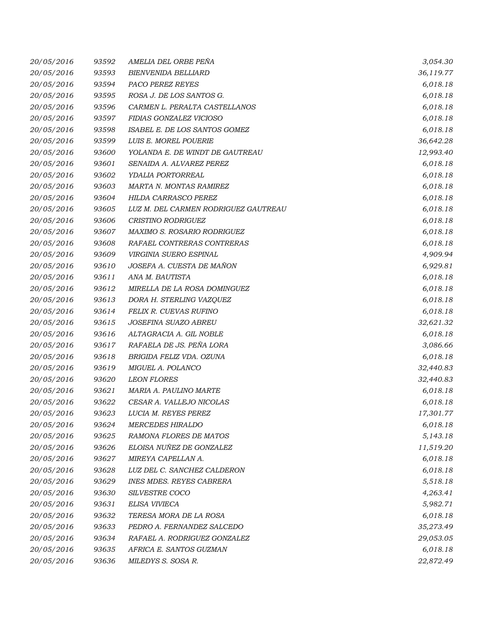| 20/05/2016 | 93592 | AMELIA DEL ORBE PEÑA                 | 3,054.30  |
|------------|-------|--------------------------------------|-----------|
| 20/05/2016 | 93593 | <b>BIENVENIDA BELLIARD</b>           | 36,119.77 |
| 20/05/2016 | 93594 | PACO PEREZ REYES                     | 6,018.18  |
| 20/05/2016 | 93595 | ROSA J. DE LOS SANTOS G.             | 6,018.18  |
| 20/05/2016 | 93596 | CARMEN L. PERALTA CASTELLANOS        | 6,018.18  |
| 20/05/2016 | 93597 | FIDIAS GONZALEZ VICIOSO              | 6,018.18  |
| 20/05/2016 | 93598 | ISABEL E. DE LOS SANTOS GOMEZ        | 6,018.18  |
| 20/05/2016 | 93599 | LUIS E. MOREL POUERIE                | 36,642.28 |
| 20/05/2016 | 93600 | YOLANDA E. DE WINDT DE GAUTREAU      | 12,993.40 |
| 20/05/2016 | 93601 | SENAIDA A. ALVAREZ PEREZ             | 6,018.18  |
| 20/05/2016 | 93602 | YDALIA PORTORREAL                    | 6,018.18  |
| 20/05/2016 | 93603 | MARTA N. MONTAS RAMIREZ              | 6,018.18  |
| 20/05/2016 | 93604 | HILDA CARRASCO PEREZ                 | 6,018.18  |
| 20/05/2016 | 93605 | LUZ M. DEL CARMEN RODRIGUEZ GAUTREAU | 6,018.18  |
| 20/05/2016 | 93606 | CRISTINO RODRIGUEZ                   | 6,018.18  |
| 20/05/2016 | 93607 | MAXIMO S. ROSARIO RODRIGUEZ          | 6,018.18  |
| 20/05/2016 | 93608 | RAFAEL CONTRERAS CONTRERAS           | 6,018.18  |
| 20/05/2016 | 93609 | VIRGINIA SUERO ESPINAL               | 4,909.94  |
| 20/05/2016 | 93610 | JOSEFA A. CUESTA DE MAÑON            | 6,929.81  |
| 20/05/2016 | 93611 | ANA M. BAUTISTA                      | 6,018.18  |
| 20/05/2016 | 93612 | MIRELLA DE LA ROSA DOMINGUEZ         | 6,018.18  |
| 20/05/2016 | 93613 | DORA H. STERLING VAZQUEZ             | 6,018.18  |
| 20/05/2016 | 93614 | FELIX R. CUEVAS RUFINO               | 6,018.18  |
| 20/05/2016 | 93615 | JOSEFINA SUAZO ABREU                 | 32,621.32 |
| 20/05/2016 | 93616 | ALTAGRACIA A. GIL NOBLE              | 6,018.18  |
| 20/05/2016 | 93617 | RAFAELA DE JS. PEÑA LORA             | 3,086.66  |
| 20/05/2016 | 93618 | BRIGIDA FELIZ VDA. OZUNA             | 6,018.18  |
| 20/05/2016 | 93619 | MIGUEL A. POLANCO                    | 32,440.83 |
| 20/05/2016 | 93620 | <b>LEON FLORES</b>                   | 32,440.83 |
| 20/05/2016 | 93621 | MARIA A. PAULINO MARTE               | 6,018.18  |
| 20/05/2016 | 93622 | CESAR A. VALLEJO NICOLAS             | 6,018.18  |
| 20/05/2016 | 93623 | LUCIA M. REYES PEREZ                 | 17,301.77 |
| 20/05/2016 | 93624 | <b>MERCEDES HIRALDO</b>              | 6,018.18  |
| 20/05/2016 | 93625 | RAMONA FLORES DE MATOS               | 5,143.18  |
| 20/05/2016 | 93626 | ELOISA NUÑEZ DE GONZALEZ             | 11,519.20 |
| 20/05/2016 | 93627 | MIREYA CAPELLAN A.                   | 6,018.18  |
| 20/05/2016 | 93628 | LUZ DEL C. SANCHEZ CALDERON          | 6,018.18  |
| 20/05/2016 | 93629 | <b>INES MDES. REYES CABRERA</b>      | 5,518.18  |
| 20/05/2016 | 93630 | SILVESTRE COCO                       | 4,263.41  |
| 20/05/2016 | 93631 | ELISA VIVIECA                        | 5,982.71  |
| 20/05/2016 | 93632 | TERESA MORA DE LA ROSA               | 6,018.18  |
| 20/05/2016 | 93633 | PEDRO A. FERNANDEZ SALCEDO           | 35,273.49 |
| 20/05/2016 | 93634 | RAFAEL A. RODRIGUEZ GONZALEZ         | 29,053.05 |
| 20/05/2016 | 93635 | AFRICA E. SANTOS GUZMAN              | 6,018.18  |
| 20/05/2016 | 93636 | MILEDYS S. SOSA R.                   | 22,872.49 |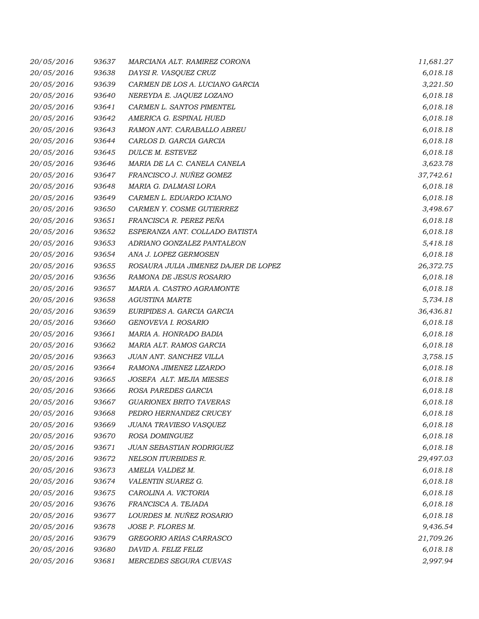| 20/05/2016 | 93637 | MARCIANA ALT. RAMIREZ CORONA         | 11,681.27 |
|------------|-------|--------------------------------------|-----------|
| 20/05/2016 | 93638 | DAYSI R. VASQUEZ CRUZ                | 6,018.18  |
| 20/05/2016 | 93639 | CARMEN DE LOS A. LUCIANO GARCIA      | 3,221.50  |
| 20/05/2016 | 93640 | NEREYDA E. JAQUEZ LOZANO             | 6,018.18  |
| 20/05/2016 | 93641 | CARMEN L. SANTOS PIMENTEL            | 6,018.18  |
| 20/05/2016 | 93642 | AMERICA G. ESPINAL HUED              | 6,018.18  |
| 20/05/2016 | 93643 | RAMON ANT. CARABALLO ABREU           | 6,018.18  |
| 20/05/2016 | 93644 | CARLOS D. GARCIA GARCIA              | 6,018.18  |
| 20/05/2016 | 93645 | DULCE M. ESTEVEZ                     | 6,018.18  |
| 20/05/2016 | 93646 | MARIA DE LA C. CANELA CANELA         | 3,623.78  |
| 20/05/2016 | 93647 | FRANCISCO J. NUÑEZ GOMEZ             | 37,742.61 |
| 20/05/2016 | 93648 | MARIA G. DALMASI LORA                | 6,018.18  |
| 20/05/2016 | 93649 | CARMEN L. EDUARDO ICIANO             | 6,018.18  |
| 20/05/2016 | 93650 | CARMEN Y. COSME GUTIERREZ            | 3,498.67  |
| 20/05/2016 | 93651 | FRANCISCA R. PEREZ PEÑA              | 6,018.18  |
| 20/05/2016 | 93652 | ESPERANZA ANT. COLLADO BATISTA       | 6,018.18  |
| 20/05/2016 | 93653 | ADRIANO GONZALEZ PANTALEON           | 5,418.18  |
| 20/05/2016 | 93654 | ANA J. LOPEZ GERMOSEN                | 6,018.18  |
| 20/05/2016 | 93655 | ROSAURA JULIA JIMENEZ DAJER DE LOPEZ | 26,372.75 |
| 20/05/2016 | 93656 | RAMONA DE JESUS ROSARIO              | 6,018.18  |
| 20/05/2016 | 93657 | MARIA A. CASTRO AGRAMONTE            | 6,018.18  |
| 20/05/2016 | 93658 | <b>AGUSTINA MARTE</b>                | 5,734.18  |
| 20/05/2016 | 93659 | EURIPIDES A. GARCIA GARCIA           | 36,436.81 |
| 20/05/2016 | 93660 | GENOVEVA I. ROSARIO                  | 6,018.18  |
| 20/05/2016 | 93661 | MARIA A. HONRADO BADIA               | 6,018.18  |
| 20/05/2016 | 93662 | MARIA ALT. RAMOS GARCIA              | 6,018.18  |
| 20/05/2016 | 93663 | JUAN ANT. SANCHEZ VILLA              | 3,758.15  |
| 20/05/2016 | 93664 | RAMONA JIMENEZ LIZARDO               | 6,018.18  |
| 20/05/2016 | 93665 | JOSEFA ALT. MEJIA MIESES             | 6,018.18  |
| 20/05/2016 | 93666 | ROSA PAREDES GARCIA                  | 6,018.18  |
| 20/05/2016 | 93667 | <b>GUARIONEX BRITO TAVERAS</b>       | 6,018.18  |
| 20/05/2016 | 93668 | PEDRO HERNANDEZ CRUCEY               | 6,018.18  |
| 20/05/2016 | 93669 | JUANA TRAVIESO VASQUEZ               | 6,018.18  |
| 20/05/2016 | 93670 | ROSA DOMINGUEZ                       | 6,018.18  |
| 20/05/2016 | 93671 | JUAN SEBASTIAN RODRIGUEZ             | 6,018.18  |
| 20/05/2016 | 93672 | NELSON ITURBIDES R.                  | 29,497.03 |
| 20/05/2016 | 93673 | AMELIA VALDEZ M.                     | 6,018.18  |
| 20/05/2016 | 93674 | VALENTIN SUAREZ G.                   | 6,018.18  |
| 20/05/2016 | 93675 | CAROLINA A. VICTORIA                 | 6,018.18  |
| 20/05/2016 | 93676 | FRANCISCA A. TEJADA                  | 6,018.18  |
| 20/05/2016 | 93677 | LOURDES M. NUÑEZ ROSARIO             | 6,018.18  |
| 20/05/2016 | 93678 | JOSE P. FLORES M.                    | 9,436.54  |
| 20/05/2016 | 93679 | GREGORIO ARIAS CARRASCO              | 21,709.26 |
| 20/05/2016 | 93680 | DAVID A. FELIZ FELIZ                 | 6,018.18  |
| 20/05/2016 | 93681 | MERCEDES SEGURA CUEVAS               | 2,997.94  |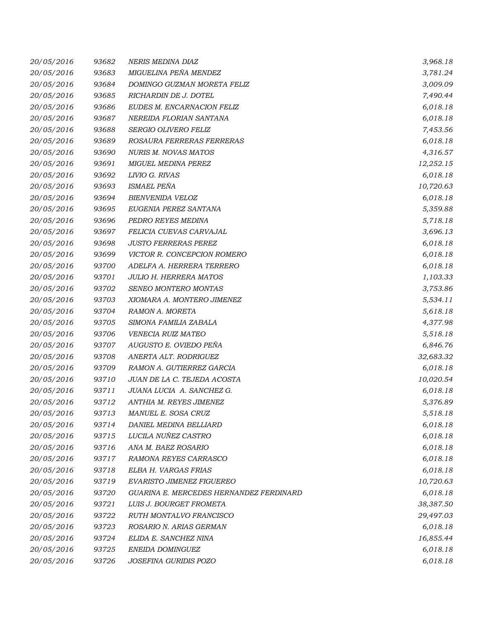| 20/05/2016 | 93682 | <b>NERIS MEDINA DIAZ</b>                | 3,968.18  |
|------------|-------|-----------------------------------------|-----------|
| 20/05/2016 | 93683 | MIGUELINA PEÑA MENDEZ                   | 3,781.24  |
| 20/05/2016 | 93684 | DOMINGO GUZMAN MORETA FELIZ             | 3,009.09  |
| 20/05/2016 | 93685 | RICHARDIN DE J. DOTEL                   | 7,490.44  |
| 20/05/2016 | 93686 | EUDES M. ENCARNACION FELIZ              | 6,018.18  |
| 20/05/2016 | 93687 | NEREIDA FLORIAN SANTANA                 | 6,018.18  |
| 20/05/2016 | 93688 | SERGIO OLIVERO FELIZ                    | 7,453.56  |
| 20/05/2016 | 93689 | ROSAURA FERRERAS FERRERAS               | 6,018.18  |
| 20/05/2016 | 93690 | NURIS M. NOVAS MATOS                    | 4,316.57  |
| 20/05/2016 | 93691 | <b>MIGUEL MEDINA PEREZ</b>              | 12,252.15 |
| 20/05/2016 | 93692 | LIVIO G. RIVAS                          | 6,018.18  |
| 20/05/2016 | 93693 | ISMAEL PEÑA                             | 10,720.63 |
| 20/05/2016 | 93694 | BIENVENIDA VELOZ                        | 6,018.18  |
| 20/05/2016 | 93695 | EUGENIA PEREZ SANTANA                   | 5,359.88  |
| 20/05/2016 | 93696 | PEDRO REYES MEDINA                      | 5,718.18  |
| 20/05/2016 | 93697 | FELICIA CUEVAS CARVAJAL                 | 3,696.13  |
| 20/05/2016 | 93698 | <b>JUSTO FERRERAS PEREZ</b>             | 6,018.18  |
| 20/05/2016 | 93699 | VICTOR R. CONCEPCION ROMERO             | 6,018.18  |
| 20/05/2016 | 93700 | ADELFA A. HERRERA TERRERO               | 6,018.18  |
| 20/05/2016 | 93701 | <b>JULIO H. HERRERA MATOS</b>           | 1,103.33  |
| 20/05/2016 | 93702 | SENEO MONTERO MONTAS                    | 3,753.86  |
| 20/05/2016 | 93703 | XIOMARA A. MONTERO JIMENEZ              | 5,534.11  |
| 20/05/2016 | 93704 | RAMON A. MORETA                         | 5,618.18  |
| 20/05/2016 | 93705 | SIMONA FAMILIA ZABALA                   | 4,377.98  |
| 20/05/2016 | 93706 | VENECIA RUIZ MATEO                      | 5,518.18  |
| 20/05/2016 | 93707 | AUGUSTO E. OVIEDO PEÑA                  | 6,846.76  |
| 20/05/2016 | 93708 | ANERTA ALT. RODRIGUEZ                   | 32,683.32 |
| 20/05/2016 | 93709 | RAMON A. GUTIERREZ GARCIA               | 6,018.18  |
| 20/05/2016 | 93710 | JUAN DE LA C. TEJEDA ACOSTA             | 10,020.54 |
| 20/05/2016 | 93711 | JUANA LUCIA A. SANCHEZ G.               | 6,018.18  |
| 20/05/2016 | 93712 | ANTHIA M. REYES JIMENEZ                 | 5,376.89  |
| 20/05/2016 | 93713 | MANUEL E. SOSA CRUZ                     | 5,518.18  |
| 20/05/2016 | 93714 | DANIEL MEDINA BELLIARD                  | 6,018.18  |
| 20/05/2016 | 93715 | LUCILA NUÑEZ CASTRO                     | 6,018.18  |
| 20/05/2016 | 93716 | ANA M. BAEZ ROSARIO                     | 6,018.18  |
| 20/05/2016 | 93717 | RAMONA REYES CARRASCO                   | 6,018.18  |
| 20/05/2016 | 93718 | ELBA H. VARGAS FRIAS                    | 6,018.18  |
| 20/05/2016 | 93719 | EVARISTO JIMENEZ FIGUEREO               | 10,720.63 |
| 20/05/2016 | 93720 | GUARINA E. MERCEDES HERNANDEZ FERDINARD | 6,018.18  |
| 20/05/2016 | 93721 | LUIS J. BOURGET FROMETA                 | 38,387.50 |
| 20/05/2016 | 93722 | RUTH MONTALVO FRANCISCO                 | 29,497.03 |
| 20/05/2016 | 93723 | ROSARIO N. ARIAS GERMAN                 | 6,018.18  |
| 20/05/2016 | 93724 | ELIDA E. SANCHEZ NINA                   | 16,855.44 |
| 20/05/2016 | 93725 | ENEIDA DOMINGUEZ                        | 6,018.18  |
| 20/05/2016 | 93726 | JOSEFINA GURIDIS POZO                   | 6,018.18  |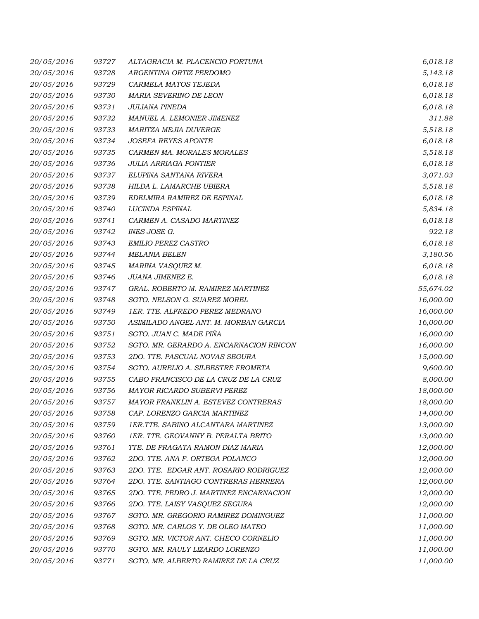| 20/05/2016 | 93727 | ALTAGRACIA M. PLACENCIO FORTUNA         | 6,018.18  |
|------------|-------|-----------------------------------------|-----------|
| 20/05/2016 | 93728 | ARGENTINA ORTIZ PERDOMO                 | 5,143.18  |
| 20/05/2016 | 93729 | CARMELA MATOS TEJEDA                    | 6,018.18  |
| 20/05/2016 | 93730 | MARIA SEVERINO DE LEON                  | 6,018.18  |
| 20/05/2016 | 93731 | JULIANA PINEDA                          | 6,018.18  |
| 20/05/2016 | 93732 | MANUEL A. LEMONIER JIMENEZ              | 311.88    |
| 20/05/2016 | 93733 | MARITZA MEJIA DUVERGE                   | 5,518.18  |
| 20/05/2016 | 93734 | <b>JOSEFA REYES APONTE</b>              | 6,018.18  |
| 20/05/2016 | 93735 | CARMEN MA. MORALES MORALES              | 5,518.18  |
| 20/05/2016 | 93736 | <b>JULIA ARRIAGA PONTIER</b>            | 6,018.18  |
| 20/05/2016 | 93737 | ELUPINA SANTANA RIVERA                  | 3,071.03  |
| 20/05/2016 | 93738 | HILDA L. LAMARCHE UBIERA                | 5,518.18  |
| 20/05/2016 | 93739 | EDELMIRA RAMIREZ DE ESPINAL             | 6,018.18  |
| 20/05/2016 | 93740 | LUCINDA ESPINAL                         | 5,834.18  |
| 20/05/2016 | 93741 | CARMEN A. CASADO MARTINEZ               | 6,018.18  |
| 20/05/2016 | 93742 | INES JOSE G.                            | 922.18    |
| 20/05/2016 | 93743 | <b>EMILIO PEREZ CASTRO</b>              | 6,018.18  |
| 20/05/2016 | 93744 | <b>MELANIA BELEN</b>                    | 3,180.56  |
| 20/05/2016 | 93745 | MARINA VASQUEZ M.                       | 6,018.18  |
| 20/05/2016 | 93746 | JUANA JIMENEZ E.                        | 6,018.18  |
| 20/05/2016 | 93747 | GRAL. ROBERTO M. RAMIREZ MARTINEZ       | 55,674.02 |
| 20/05/2016 | 93748 | SGTO. NELSON G. SUAREZ MOREL            | 16,000.00 |
| 20/05/2016 | 93749 | 1ER. TTE. ALFREDO PEREZ MEDRANO         | 16,000.00 |
| 20/05/2016 | 93750 | ASIMILADO ANGEL ANT. M. MORBAN GARCIA   | 16,000.00 |
| 20/05/2016 | 93751 | SGTO. JUAN C. MADE PIÑA                 | 16,000.00 |
| 20/05/2016 | 93752 | SGTO. MR. GERARDO A. ENCARNACION RINCON | 16,000.00 |
| 20/05/2016 | 93753 | 2DO. TTE. PASCUAL NOVAS SEGURA          | 15,000.00 |
| 20/05/2016 | 93754 | SGTO. AURELIO A. SILBESTRE FROMETA      | 9,600.00  |
| 20/05/2016 | 93755 | CABO FRANCISCO DE LA CRUZ DE LA CRUZ    | 8,000.00  |
| 20/05/2016 | 93756 | <b>MAYOR RICARDO SUBERVI PEREZ</b>      | 18,000.00 |
| 20/05/2016 | 93757 | MAYOR FRANKLIN A. ESTEVEZ CONTRERAS     | 18,000.00 |
| 20/05/2016 | 93758 | CAP. LORENZO GARCIA MARTINEZ            | 14,000.00 |
| 20/05/2016 | 93759 | 1ER.TTE. SABINO ALCANTARA MARTINEZ      | 13,000.00 |
| 20/05/2016 | 93760 | 1ER. TTE. GEOVANNY B. PERALTA BRITO     | 13,000.00 |
| 20/05/2016 | 93761 | TTE. DE FRAGATA RAMON DIAZ MARIA        | 12,000.00 |
| 20/05/2016 | 93762 | 2DO. TTE. ANA F. ORTEGA POLANCO         | 12,000.00 |
| 20/05/2016 | 93763 | 2DO. TTE. EDGAR ANT. ROSARIO RODRIGUEZ  | 12,000.00 |
| 20/05/2016 | 93764 | 2DO. TTE. SANTIAGO CONTRERAS HERRERA    | 12,000.00 |
| 20/05/2016 | 93765 | 2DO. TTE. PEDRO J. MARTINEZ ENCARNACION | 12,000.00 |
| 20/05/2016 | 93766 | 2DO. TTE. LAISY VASQUEZ SEGURA          | 12,000.00 |
| 20/05/2016 | 93767 | SGTO. MR. GREGORIO RAMIREZ DOMINGUEZ    | 11,000.00 |
| 20/05/2016 | 93768 | SGTO. MR. CARLOS Y. DE OLEO MATEO       | 11,000.00 |
| 20/05/2016 | 93769 | SGTO. MR. VICTOR ANT. CHECO CORNELIO    | 11,000.00 |
| 20/05/2016 | 93770 | SGTO. MR. RAULY LIZARDO LORENZO         | 11,000.00 |
| 20/05/2016 | 93771 | SGTO. MR. ALBERTO RAMIREZ DE LA CRUZ    | 11,000.00 |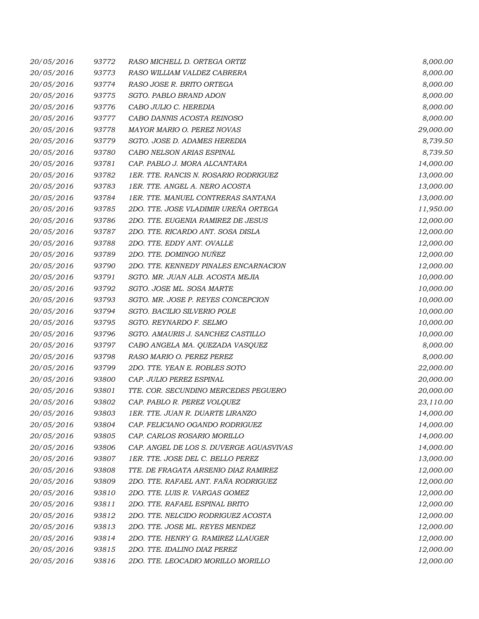| 20/05/2016 | 93772 | RASO MICHELL D. ORTEGA ORTIZ            | 8,000.00  |
|------------|-------|-----------------------------------------|-----------|
| 20/05/2016 | 93773 | RASO WILLIAM VALDEZ CABRERA             | 8,000.00  |
| 20/05/2016 | 93774 | RASO JOSE R. BRITO ORTEGA               | 8,000.00  |
| 20/05/2016 | 93775 | SGTO. PABLO BRAND ADON                  | 8,000.00  |
| 20/05/2016 | 93776 | CABO JULIO C. HEREDIA                   | 8,000.00  |
| 20/05/2016 | 93777 | CABO DANNIS ACOSTA REINOSO              | 8,000.00  |
| 20/05/2016 | 93778 | MAYOR MARIO O. PEREZ NOVAS              | 29,000.00 |
| 20/05/2016 | 93779 | SGTO. JOSE D. ADAMES HEREDIA            | 8,739.50  |
| 20/05/2016 | 93780 | CABO NELSON ARIAS ESPINAL               | 8,739.50  |
| 20/05/2016 | 93781 | CAP. PABLO J. MORA ALCANTARA            | 14,000.00 |
| 20/05/2016 | 93782 | 1ER. TTE. RANCIS N. ROSARIO RODRIGUEZ   | 13,000.00 |
| 20/05/2016 | 93783 | 1ER. TTE. ANGEL A. NERO ACOSTA          | 13,000.00 |
| 20/05/2016 | 93784 | 1ER. TTE. MANUEL CONTRERAS SANTANA      | 13,000.00 |
| 20/05/2016 | 93785 | 2DO. TTE. JOSE VLADIMIR UREÑA ORTEGA    | 11,950.00 |
| 20/05/2016 | 93786 | 2DO. TTE. EUGENIA RAMIREZ DE JESUS      | 12,000.00 |
| 20/05/2016 | 93787 | 2DO. TTE. RICARDO ANT. SOSA DISLA       | 12,000.00 |
| 20/05/2016 | 93788 | 2DO. TTE. EDDY ANT. OVALLE              | 12,000.00 |
| 20/05/2016 | 93789 | 2DO. TTE. DOMINGO NUÑEZ                 | 12,000.00 |
| 20/05/2016 | 93790 | 2DO. TTE. KENNEDY PINALES ENCARNACION   | 12,000.00 |
| 20/05/2016 | 93791 | SGTO. MR. JUAN ALB. ACOSTA MEJIA        | 10,000.00 |
| 20/05/2016 | 93792 | SGTO. JOSE ML. SOSA MARTE               | 10,000.00 |
| 20/05/2016 | 93793 | SGTO. MR. JOSE P. REYES CONCEPCION      | 10,000.00 |
| 20/05/2016 | 93794 | SGTO. BACILIO SILVERIO POLE             | 10,000.00 |
| 20/05/2016 | 93795 | SGTO. REYNARDO F. SELMO                 | 10,000.00 |
| 20/05/2016 | 93796 | SGTO. AMAURIS J. SANCHEZ CASTILLO       | 10,000.00 |
| 20/05/2016 | 93797 | CABO ANGELA MA. QUEZADA VASQUEZ         | 8,000.00  |
| 20/05/2016 | 93798 | RASO MARIO O. PEREZ PEREZ               | 8,000.00  |
| 20/05/2016 | 93799 | 2DO. TTE. YEAN E. ROBLES SOTO           | 22,000.00 |
| 20/05/2016 | 93800 | CAP. JULIO PEREZ ESPINAL                | 20,000.00 |
| 20/05/2016 | 93801 | TTE. COR. SECUNDINO MERCEDES PEGUERO    | 20,000.00 |
| 20/05/2016 | 93802 | CAP. PABLO R. PEREZ VOLQUEZ             | 23,110.00 |
| 20/05/2016 | 93803 | 1ER. TTE. JUAN R. DUARTE LIRANZO        | 14,000.00 |
| 20/05/2016 | 93804 | CAP. FELICIANO OGANDO RODRIGUEZ         | 14,000.00 |
| 20/05/2016 | 93805 | CAP. CARLOS ROSARIO MORILLO             | 14,000.00 |
| 20/05/2016 | 93806 | CAP. ANGEL DE LOS S. DUVERGE AGUASVIVAS | 14,000.00 |
| 20/05/2016 | 93807 | 1ER. TTE. JOSE DEL C. BELLO PEREZ       | 13,000.00 |
| 20/05/2016 | 93808 | TTE. DE FRAGATA ARSENIO DIAZ RAMIREZ    | 12,000.00 |
| 20/05/2016 | 93809 | 2DO. TTE. RAFAEL ANT. FAÑA RODRIGUEZ    | 12,000.00 |
| 20/05/2016 | 93810 | 2DO. TTE. LUIS R. VARGAS GOMEZ          | 12,000.00 |
| 20/05/2016 | 93811 | 2DO. TTE. RAFAEL ESPINAL BRITO          | 12,000.00 |
| 20/05/2016 | 93812 | 2DO. TTE. NELCIDO RODRIGUEZ ACOSTA      | 12,000.00 |
| 20/05/2016 | 93813 | 2DO. TTE. JOSE ML. REYES MENDEZ         | 12,000.00 |
| 20/05/2016 | 93814 | 2DO. TTE. HENRY G. RAMIREZ LLAUGER      | 12,000.00 |
| 20/05/2016 | 93815 | 2DO. TTE. IDALINO DIAZ PEREZ            | 12,000.00 |
| 20/05/2016 | 93816 | 2DO. TTE. LEOCADIO MORILLO MORILLO      | 12,000.00 |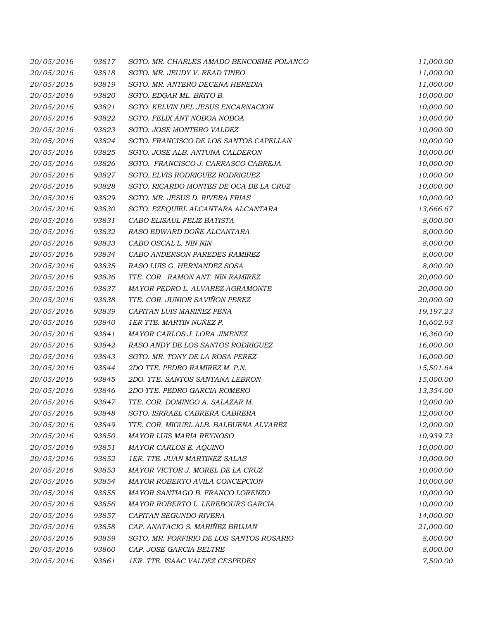| 20/05/2016 | 93817 | SGTO. MR. CHARLES AMADO BENCOSME POLANCO | 11,000.00 |
|------------|-------|------------------------------------------|-----------|
| 20/05/2016 | 93818 | SGTO. MR. JEUDY V. READ TINEO            | 11,000.00 |
| 20/05/2016 | 93819 | SGTO. MR. ANTERO DECENA HEREDIA          | 11,000.00 |
| 20/05/2016 | 93820 | SGTO. EDGAR ML. BRITO B.                 | 10,000.00 |
| 20/05/2016 | 93821 | SGTO. KELVIN DEL JESUS ENCARNACION       | 10,000.00 |
| 20/05/2016 | 93822 | SGTO. FELIX ANT NOBOA NOBOA              | 10,000.00 |
| 20/05/2016 | 93823 | SGTO. JOSE MONTERO VALDEZ                | 10,000.00 |
| 20/05/2016 | 93824 | SGTO. FRANCISCO DE LOS SANTOS CAPELLAN   | 10,000.00 |
| 20/05/2016 | 93825 | SGTO. JOSE ALB. ANTUNA CALDERON          | 10,000.00 |
| 20/05/2016 | 93826 | SGTO. FRANCISCO J. CARRASCO CABREJA      | 10,000.00 |
| 20/05/2016 | 93827 | SGTO. ELVIS RODRIGUEZ RODRIGUEZ          | 10,000.00 |
| 20/05/2016 | 93828 | SGTO. RICARDO MONTES DE OCA DE LA CRUZ   | 10,000.00 |
| 20/05/2016 | 93829 | SGTO. MR. JESUS D. RIVERA FRIAS          | 10,000.00 |
| 20/05/2016 | 93830 | SGTO. EZEQUIEL ALCANTARA ALCANTARA       | 13,666.67 |
| 20/05/2016 | 93831 | CABO ELISAUL FELIZ BATISTA               | 8,000.00  |
| 20/05/2016 | 93832 | RASO EDWARD DOÑE ALCANTARA               | 8,000.00  |
| 20/05/2016 | 93833 | CABO OSCAL L. NIN NIN                    | 8,000.00  |
| 20/05/2016 | 93834 | CABO ANDERSON PAREDES RAMIREZ            | 8,000.00  |
| 20/05/2016 | 93835 | RASO LUIS G. HERNANDEZ SOSA              | 8,000.00  |
| 20/05/2016 | 93836 | TTE. COR. RAMON ANT. NIN RAMIREZ         | 20,000.00 |
| 20/05/2016 | 93837 | MAYOR PEDRO L. ALVAREZ AGRAMONTE         | 20,000.00 |
| 20/05/2016 | 93838 | TTE. COR. JUNIOR SAVIÑON PEREZ           | 20,000.00 |
| 20/05/2016 | 93839 | CAPITAN LUIS MARIÑEZ PEÑA                | 19,197.23 |
| 20/05/2016 | 93840 | 1ER TTE. MARTIN NUÑEZ P.                 | 16,602.93 |
| 20/05/2016 | 93841 | MAYOR CARLOS J. LORA JIMENEZ             | 16,360.00 |
| 20/05/2016 | 93842 | RASO ANDY DE LOS SANTOS RODRIGUEZ        | 16,000.00 |
| 20/05/2016 | 93843 | SGTO. MR. TONY DE LA ROSA PEREZ          | 16,000.00 |
| 20/05/2016 | 93844 | 2DO TTE. PEDRO RAMIREZ M. P.N.           | 15,501.64 |
| 20/05/2016 | 93845 | 2DO. TTE. SANTOS SANTANA LEBRON          | 15,000.00 |
| 20/05/2016 | 93846 | 2DO TTE. PEDRO GARCIA ROMERO             | 13,354.00 |
| 20/05/2016 | 93847 | TTE. COR. DOMINGO A. SALAZAR M.          | 12,000.00 |
| 20/05/2016 | 93848 | SGTO. ISRRAEL CABRERA CABRERA            | 12,000.00 |
| 20/05/2016 | 93849 | TTE. COR. MIGUEL ALB. BALBUENA ALVAREZ   | 12,000.00 |
| 20/05/2016 | 93850 | MAYOR LUIS MARIA REYNOSO                 | 10,939.73 |
| 20/05/2016 | 93851 | MAYOR CARLOS E. AQUINO                   | 10,000.00 |
| 20/05/2016 | 93852 | 1ER. TTE. JUAN MARTINEZ SALAS            | 10,000.00 |
| 20/05/2016 | 93853 | MAYOR VICTOR J. MOREL DE LA CRUZ         | 10,000.00 |
| 20/05/2016 | 93854 | MAYOR ROBERTO AVILA CONCEPCION           | 10,000.00 |
| 20/05/2016 | 93855 | MAYOR SANTIAGO B. FRANCO LORENZO         | 10,000.00 |
| 20/05/2016 | 93856 | MAYOR ROBERTO L. LEREBOURS GARCIA        | 10,000.00 |
| 20/05/2016 | 93857 | CAPITAN SEGUNDO RIVERA                   | 14,000.00 |
| 20/05/2016 | 93858 | CAP. ANATACIO S. MARIÑEZ BRUJAN          | 21,000.00 |
| 20/05/2016 | 93859 | SGTO. MR. PORFIRIO DE LOS SANTOS ROSARIO | 8,000.00  |
| 20/05/2016 | 93860 | CAP. JOSE GARCIA BELTRE                  | 8,000.00  |
| 20/05/2016 | 93861 | 1ER. TTE. ISAAC VALDEZ CESPEDES          | 7,500.00  |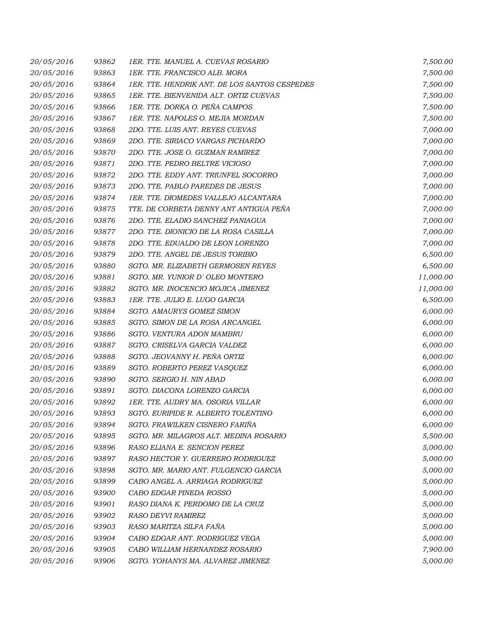| 20/05/2016 | 93862 | 1ER. TTE. MANUEL A. CUEVAS ROSARIO            | 7,500.00  |
|------------|-------|-----------------------------------------------|-----------|
| 20/05/2016 | 93863 | 1ER. TTE. FRANCISCO ALB. MORA                 | 7,500.00  |
| 20/05/2016 | 93864 | 1ER. TTE. HENDRIK ANT. DE LOS SANTOS CESPEDES | 7,500.00  |
| 20/05/2016 | 93865 | 1ER. TTE. BIENVENIDA ALT. ORTIZ CUEVAS        | 7,500.00  |
| 20/05/2016 | 93866 | 1ER. TTE. DORKA O. PEÑA CAMPOS                | 7,500.00  |
| 20/05/2016 | 93867 | 1ER. TTE. NAPOLES O. MEJIA MORDAN             | 7,500.00  |
| 20/05/2016 | 93868 | 2DO. TTE. LUIS ANT. REYES CUEVAS              | 7,000.00  |
| 20/05/2016 | 93869 | 2DO. TTE. SIRIACO VARGAS PICHARDO             | 7,000.00  |
| 20/05/2016 | 93870 | 2DO. TTE. JOSE O. GUZMAN RAMIREZ              | 7,000.00  |
| 20/05/2016 | 93871 | 2DO. TTE. PEDRO BELTRE VICIOSO                | 7,000.00  |
| 20/05/2016 | 93872 | 2DO. TTE. EDDY ANT. TRIUNFEL SOCORRO          | 7,000.00  |
| 20/05/2016 | 93873 | 2DO. TTE. PABLO PAREDES DE JESUS              | 7,000.00  |
| 20/05/2016 | 93874 | 1ER. TTE. DIOMEDES VALLEJO ALCANTARA          | 7,000.00  |
| 20/05/2016 | 93875 | TTE. DE CORBETA DENNY ANT ANTIGUA PEÑA        | 7,000.00  |
| 20/05/2016 | 93876 | 2DO. TTE. ELADIO SANCHEZ PANIAGUA             | 7,000.00  |
| 20/05/2016 | 93877 | 2DO. TTE. DIONICIO DE LA ROSA CASILLA         | 7,000.00  |
| 20/05/2016 | 93878 | 2DO. TTE. EDUALDO DE LEON LORENZO             | 7,000.00  |
| 20/05/2016 | 93879 | 2DO. TTE. ANGEL DE JESUS TORIBIO              | 6,500.00  |
| 20/05/2016 | 93880 | SGTO. MR. ELIZABETH GERMOSEN REYES            | 6,500.00  |
| 20/05/2016 | 93881 | SGTO. MR. YUNIOR D'OLEO MONTERO               | 11,000.00 |
| 20/05/2016 | 93882 | SGTO. MR. INOCENCIO MOJICA JIMENEZ            | 11,000.00 |
| 20/05/2016 | 93883 | 1ER. TTE. JULIO E. LUGO GARCIA                | 6,500.00  |
| 20/05/2016 | 93884 | SGTO. AMAURYS GOMEZ SIMON                     | 6,000.00  |
| 20/05/2016 | 93885 | SGTO. SIMON DE LA ROSA ARCANGEL               | 6,000.00  |
| 20/05/2016 | 93886 | SGTO. VENTURA ADON MAMBRU                     | 6,000.00  |
| 20/05/2016 | 93887 | SGTO. CRISELVA GARCIA VALDEZ                  | 6,000.00  |
| 20/05/2016 | 93888 | SGTO. JEOVANNY H. PEÑA ORTIZ                  | 6,000.00  |
| 20/05/2016 | 93889 | SGTO. ROBERTO PEREZ VASQUEZ                   | 6,000.00  |
| 20/05/2016 | 93890 | SGTO. SERGIO H. NIN ABAD                      | 6,000.00  |
| 20/05/2016 | 93891 | SGTO. DIACONA LORENZO GARCIA                  | 6,000.00  |
| 20/05/2016 | 93892 | 1ER. TTE. AUDRY MA. OSORIA VILLAR             | 6,000.00  |
| 20/05/2016 | 93893 | SGTO. EURIPIDE R. ALBERTO TOLENTINO           | 6,000.00  |
| 20/05/2016 | 93894 | SGTO. FRAWILKEN CISNERO FARIÑA                | 6,000.00  |
| 20/05/2016 | 93895 | SGTO. MR. MILAGROS ALT. MEDINA ROSARIO        | 5,500.00  |
| 20/05/2016 | 93896 | RASO ELIANA E. SENCION PEREZ                  | 5,000.00  |
| 20/05/2016 | 93897 | RASO HECTOR Y. GUERRERO RODRIGUEZ             | 5,000.00  |
| 20/05/2016 | 93898 | SGTO. MR. MARIO ANT. FULGENCIO GARCIA         | 5,000.00  |
| 20/05/2016 | 93899 | CABO ANGEL A. ARRIAGA RODRIGUEZ               | 5,000.00  |
| 20/05/2016 | 93900 | CABO EDGAR PINEDA ROSSO                       | 5,000.00  |
| 20/05/2016 | 93901 | RASO DIANA K. PERDOMO DE LA CRUZ              | 5,000.00  |
| 20/05/2016 | 93902 | RASO DEYVI RAMIREZ                            | 5,000.00  |
| 20/05/2016 | 93903 | RASO MARITZA SILFA FAÑA                       | 5,000.00  |
| 20/05/2016 | 93904 | CABO EDGAR ANT. RODRIGUEZ VEGA                | 5,000.00  |
| 20/05/2016 | 93905 | CABO WILLIAM HERNANDEZ ROSARIO                | 7,900.00  |
| 20/05/2016 | 93906 | SGTO. YOHANYS MA. ALVAREZ JIMENEZ             | 5,000.00  |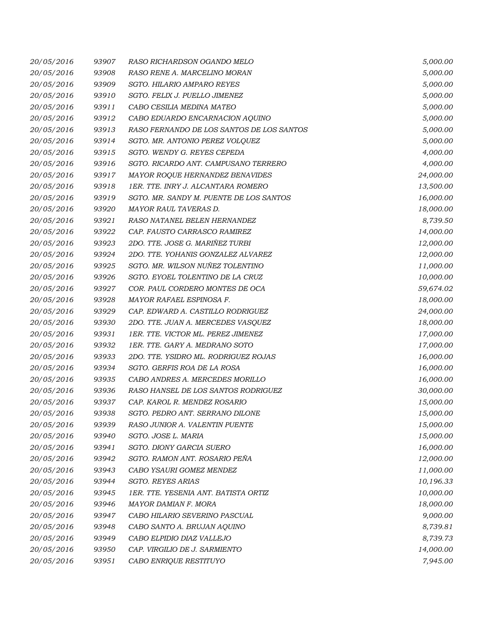| 20/05/2016 | 93907 | RASO RICHARDSON OGANDO MELO               | 5,000.00  |
|------------|-------|-------------------------------------------|-----------|
| 20/05/2016 | 93908 | RASO RENE A. MARCELINO MORAN              | 5,000.00  |
| 20/05/2016 | 93909 | SGTO. HILARIO AMPARO REYES                | 5,000.00  |
| 20/05/2016 | 93910 | SGTO. FELIX J. PUELLO JIMENEZ             | 5,000.00  |
| 20/05/2016 | 93911 | CABO CESILIA MEDINA MATEO                 | 5,000.00  |
| 20/05/2016 | 93912 | CABO EDUARDO ENCARNACION AQUINO           | 5,000.00  |
| 20/05/2016 | 93913 | RASO FERNANDO DE LOS SANTOS DE LOS SANTOS | 5,000.00  |
| 20/05/2016 | 93914 | SGTO. MR. ANTONIO PEREZ VOLQUEZ           | 5,000.00  |
| 20/05/2016 | 93915 | SGTO. WENDY G. REYES CEPEDA               | 4,000.00  |
| 20/05/2016 | 93916 | SGTO. RICARDO ANT. CAMPUSANO TERRERO      | 4,000.00  |
| 20/05/2016 | 93917 | MAYOR ROQUE HERNANDEZ BENAVIDES           | 24,000.00 |
| 20/05/2016 | 93918 | 1ER. TTE. INRY J. ALCANTARA ROMERO        | 13,500.00 |
| 20/05/2016 | 93919 | SGTO. MR. SANDY M. PUENTE DE LOS SANTOS   | 16,000.00 |
| 20/05/2016 | 93920 | MAYOR RAUL TAVERAS D.                     | 18,000.00 |
| 20/05/2016 | 93921 | RASO NATANEL BELEN HERNANDEZ              | 8,739.50  |
| 20/05/2016 | 93922 | CAP. FAUSTO CARRASCO RAMIREZ              | 14,000.00 |
| 20/05/2016 | 93923 | 2DO. TTE. JOSE G. MARIÑEZ TURBI           | 12,000.00 |
| 20/05/2016 | 93924 | 2DO. TTE. YOHANIS GONZALEZ ALVAREZ        | 12,000.00 |
| 20/05/2016 | 93925 | SGTO. MR. WILSON NUÑEZ TOLENTINO          | 11,000.00 |
| 20/05/2016 | 93926 | SGTO. EYOEL TOLENTINO DE LA CRUZ          | 10,000.00 |
| 20/05/2016 | 93927 | COR. PAUL CORDERO MONTES DE OCA           | 59,674.02 |
| 20/05/2016 | 93928 | MAYOR RAFAEL ESPINOSA F.                  | 18,000.00 |
| 20/05/2016 | 93929 | CAP. EDWARD A. CASTILLO RODRIGUEZ         | 24,000.00 |
| 20/05/2016 | 93930 | 2DO. TTE. JUAN A. MERCEDES VASQUEZ        | 18,000.00 |
| 20/05/2016 | 93931 | 1ER. TTE. VICTOR ML. PEREZ JIMENEZ        | 17,000.00 |
| 20/05/2016 | 93932 | 1ER. TTE. GARY A. MEDRANO SOTO            | 17,000.00 |
| 20/05/2016 | 93933 | 2DO. TTE. YSIDRO ML. RODRIGUEZ ROJAS      | 16,000.00 |
| 20/05/2016 | 93934 | SGTO. GERFIS ROA DE LA ROSA               | 16,000.00 |
| 20/05/2016 | 93935 | CABO ANDRES A. MERCEDES MORILLO           | 16,000.00 |
| 20/05/2016 | 93936 | RASO HANSEL DE LOS SANTOS RODRIGUEZ       | 30,000.00 |
| 20/05/2016 | 93937 | CAP. KAROL R. MENDEZ ROSARIO              | 15,000.00 |
| 20/05/2016 | 93938 | SGTO. PEDRO ANT. SERRANO DILONE           | 15,000.00 |
| 20/05/2016 | 93939 | RASO JUNIOR A. VALENTIN PUENTE            | 15,000.00 |
| 20/05/2016 | 93940 | SGTO. JOSE L. MARIA                       | 15,000.00 |
| 20/05/2016 | 93941 | SGTO. DIONY GARCIA SUERO                  | 16,000.00 |
| 20/05/2016 | 93942 | SGTO. RAMON ANT. ROSARIO PEÑA             | 12,000.00 |
| 20/05/2016 | 93943 | CABO YSAURI GOMEZ MENDEZ                  | 11,000.00 |
| 20/05/2016 | 93944 | SGTO. REYES ARIAS                         | 10,196.33 |
| 20/05/2016 | 93945 | 1ER. TTE. YESENIA ANT. BATISTA ORTIZ      | 10,000.00 |
| 20/05/2016 | 93946 | MAYOR DAMIAN F. MORA                      | 18,000.00 |
| 20/05/2016 | 93947 | CABO HILARIO SEVERINO PASCUAL             | 9,000.00  |
| 20/05/2016 | 93948 | CABO SANTO A. BRUJAN AQUINO               | 8,739.81  |
| 20/05/2016 | 93949 | CABO ELPIDIO DIAZ VALLEJO                 | 8,739.73  |
| 20/05/2016 | 93950 | CAP. VIRGILIO DE J. SARMIENTO             | 14,000.00 |
| 20/05/2016 | 93951 | CABO ENRIQUE RESTITUYO                    | 7,945.00  |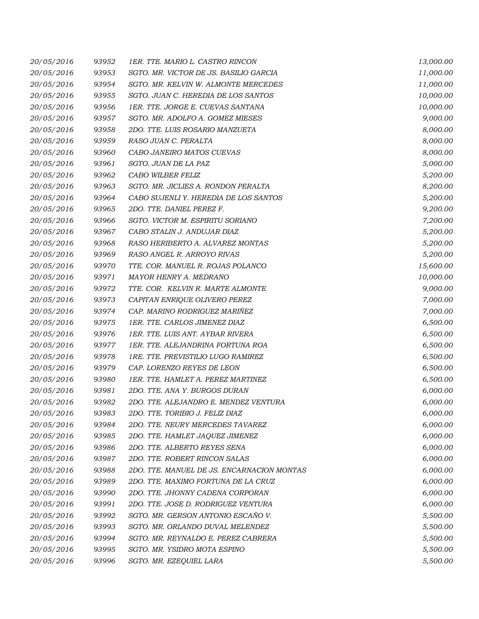| 20/05/2016 | 93952 | 1ER. TTE. MARIO L. CASTRO RINCON           | 13,000.00 |
|------------|-------|--------------------------------------------|-----------|
| 20/05/2016 | 93953 | SGTO. MR. VICTOR DE JS. BASILIO GARCIA     | 11,000.00 |
| 20/05/2016 | 93954 | SGTO. MR. KELVIN W. ALMONTE MERCEDES       | 11,000.00 |
| 20/05/2016 | 93955 | SGTO. JUAN C. HEREDIA DE LOS SANTOS        | 10,000.00 |
| 20/05/2016 | 93956 | 1ER. TTE. JORGE E. CUEVAS SANTANA          | 10,000.00 |
| 20/05/2016 | 93957 | SGTO. MR. ADOLFO A. GOMEZ MIESES           | 9,000.00  |
| 20/05/2016 | 93958 | 2DO. TTE. LUIS ROSARIO MANZUETA            | 8,000.00  |
| 20/05/2016 | 93959 | RASO JUAN C. PERALTA                       | 8,000.00  |
| 20/05/2016 | 93960 | CABO JANEIRO MATOS CUEVAS                  | 8,000.00  |
| 20/05/2016 | 93961 | SGTO. JUAN DE LA PAZ                       | 5,000.00  |
| 20/05/2016 | 93962 | CABO WILBER FELIZ                          | 5,200.00  |
| 20/05/2016 | 93963 | SGTO. MR. JICLIES A. RONDON PERALTA        | 8,200.00  |
| 20/05/2016 | 93964 | CABO SUJENLI Y. HEREDIA DE LOS SANTOS      | 5,200.00  |
| 20/05/2016 | 93965 | 2DO. TTE. DANIEL PEREZ F.                  | 9,200.00  |
| 20/05/2016 | 93966 | SGTO. VICTOR M. ESPIRITU SORIANO           | 7,200.00  |
| 20/05/2016 | 93967 | CABO STALIN J. ANDUJAR DIAZ                | 5,200.00  |
| 20/05/2016 | 93968 | RASO HERIBERTO A. ALVAREZ MONTAS           | 5,200.00  |
| 20/05/2016 | 93969 | RASO ANGEL R. ARROYO RIVAS                 | 5,200.00  |
| 20/05/2016 | 93970 | TTE. COR. MANUEL R. ROJAS POLANCO          | 15,600.00 |
| 20/05/2016 | 93971 | MAYOR HENRY A. MEDRANO                     | 10,000.00 |
| 20/05/2016 | 93972 | TTE. COR. KELVIN R. MARTE ALMONTE          | 9,000.00  |
| 20/05/2016 | 93973 | CAPITAN ENRIQUE OLIVERO PEREZ              | 7,000.00  |
| 20/05/2016 | 93974 | CAP. MARINO RODRIGUEZ MARIÑEZ              | 7,000.00  |
| 20/05/2016 | 93975 | 1ER. TTE. CARLOS JIMENEZ DIAZ              | 6,500.00  |
| 20/05/2016 | 93976 | 1ER. TTE. LUIS ANT. AYBAR RIVERA           | 6,500.00  |
| 20/05/2016 | 93977 | 1ER. TTE. ALEJANDRINA FORTUNA ROA          | 6,500.00  |
| 20/05/2016 | 93978 | 1RE. TTE. PREVISTILIO LUGO RAMIREZ         | 6,500.00  |
| 20/05/2016 | 93979 | CAP. LORENZO REYES DE LEON                 | 6,500.00  |
| 20/05/2016 | 93980 | 1ER. TTE. HAMLET A. PEREZ MARTINEZ         | 6,500.00  |
| 20/05/2016 | 93981 | 2DO. TTE. ANA Y. BURGOS DURAN              | 6,000.00  |
| 20/05/2016 | 93982 | 2DO. TTE. ALEJANDRO E. MENDEZ VENTURA      | 6,000.00  |
| 20/05/2016 | 93983 | 2DO. TTE. TORIBIO J. FELIZ DIAZ            | 6,000.00  |
| 20/05/2016 | 93984 | 2DO. TTE. NEURY MERCEDES TAVAREZ           | 6,000.00  |
| 20/05/2016 | 93985 | 2DO. TTE. HAMLET JAQUEZ JIMENEZ            | 6,000.00  |
| 20/05/2016 | 93986 | 2DO. TTE. ALBERTO REYES SENA               | 6,000.00  |
| 20/05/2016 | 93987 | 2DO. TTE. ROBERT RINCON SALAS              | 6,000.00  |
| 20/05/2016 | 93988 | 2DO. TTE. MANUEL DE JS. ENCARNACION MONTAS | 6,000.00  |
| 20/05/2016 | 93989 | 2DO. TTE. MAXIMO FORTUNA DE LA CRUZ        | 6,000.00  |
| 20/05/2016 | 93990 | 2DO. TTE. JHONNY CADENA CORPORAN           | 6,000.00  |
| 20/05/2016 | 93991 | 2DO. TTE. JOSE D. RODRIGUEZ VENTURA        | 6,000.00  |
| 20/05/2016 | 93992 | SGTO. MR. GERSON ANTONIO ESCAÑO V.         | 5,500.00  |
| 20/05/2016 | 93993 | SGTO. MR. ORLANDO DUVAL MELENDEZ           | 5,500.00  |
| 20/05/2016 | 93994 | SGTO. MR. REYNALDO E. PEREZ CABRERA        | 5,500.00  |
| 20/05/2016 | 93995 | SGTO. MR. YSIDRO MOTA ESPINO               | 5,500.00  |
| 20/05/2016 | 93996 | SGTO. MR. EZEQUIEL LARA                    | 5,500.00  |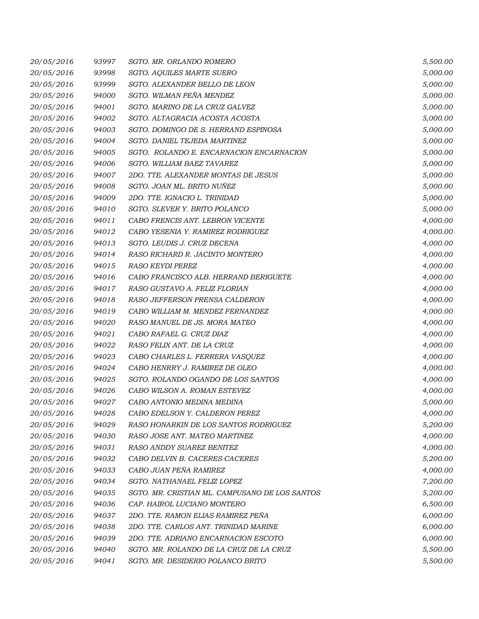| 20/05/2016 | 93997 | SGTO. MR. ORLANDO ROMERO                       | 5,500.00 |
|------------|-------|------------------------------------------------|----------|
| 20/05/2016 | 93998 | <b>SGTO. AQUILES MARTE SUERO</b>               | 5,000.00 |
| 20/05/2016 | 93999 | SGTO. ALEXANDER BELLO DE LEON                  | 5,000.00 |
| 20/05/2016 | 94000 | SGTO. WILMAN PEÑA MENDEZ                       | 5,000.00 |
| 20/05/2016 | 94001 | SGTO. MARINO DE LA CRUZ GALVEZ                 | 5,000.00 |
| 20/05/2016 | 94002 | SGTO. ALTAGRACIA ACOSTA ACOSTA                 | 5,000.00 |
| 20/05/2016 | 94003 | SGTO. DOMINGO DE S. HERRAND ESPINOSA           | 5,000.00 |
| 20/05/2016 | 94004 | SGTO. DANIEL TEJEDA MARTINEZ                   | 5,000.00 |
| 20/05/2016 | 94005 | SGTO. ROLANDO E. ENCARNACION ENCARNACION       | 5,000.00 |
| 20/05/2016 | 94006 | SGTO. WILLIAM BAEZ TAVAREZ                     | 5,000.00 |
| 20/05/2016 | 94007 | 2DO. TTE. ALEXANDER MONTAS DE JESUS            | 5,000.00 |
| 20/05/2016 | 94008 | SGTO. JOAN ML. BRITO NUÑEZ                     | 5,000.00 |
| 20/05/2016 | 94009 | 2DO. TTE. IGNACIO L. TRINIDAD                  | 5,000.00 |
| 20/05/2016 | 94010 | SGTO. SLEVER Y. BRITO POLANCO                  | 5,000.00 |
| 20/05/2016 | 94011 | CABO FRENCIS ANT. LEBRON VICENTE               | 4,000.00 |
| 20/05/2016 | 94012 | CABO YESENIA Y. RAMIREZ RODRIGUEZ              | 4,000.00 |
| 20/05/2016 | 94013 | SGTO. LEUDIS J. CRUZ DECENA                    | 4,000.00 |
| 20/05/2016 | 94014 | RASO RICHARD R. JACINTO MONTERO                | 4,000.00 |
| 20/05/2016 | 94015 | <b>RASO KEYDI PEREZ</b>                        | 4,000.00 |
| 20/05/2016 | 94016 | CABO FRANCISCO ALB. HERRAND BERIGUETE          | 4,000.00 |
| 20/05/2016 | 94017 | RASO GUSTAVO A. FELIZ FLORIAN                  | 4,000.00 |
| 20/05/2016 | 94018 | RASO JEFFERSON PRENSA CALDERON                 | 4,000.00 |
| 20/05/2016 | 94019 | CABO WILLIAM M. MENDEZ FERNANDEZ               | 4,000.00 |
| 20/05/2016 | 94020 | RASO MANUEL DE JS. MORA MATEO                  | 4,000.00 |
| 20/05/2016 | 94021 | CABO RAFAEL G. CRUZ DIAZ                       | 4,000.00 |
| 20/05/2016 | 94022 | RASO FELIX ANT. DE LA CRUZ                     | 4,000.00 |
| 20/05/2016 | 94023 | CABO CHARLES L. FERRERA VASQUEZ                | 4,000.00 |
| 20/05/2016 | 94024 | CABO HENRRY J. RAMIREZ DE OLEO                 | 4,000.00 |
| 20/05/2016 | 94025 | SGTO. ROLANDO OGANDO DE LOS SANTOS             | 4,000.00 |
| 20/05/2016 | 94026 | CABO WILSON A. ROMAN ESTEVEZ                   | 4,000.00 |
| 20/05/2016 | 94027 | CABO ANTONIO MEDINA MEDINA                     | 5,000.00 |
| 20/05/2016 | 94028 | CABO EDELSON Y. CALDERON PEREZ                 | 4,000.00 |
| 20/05/2016 | 94029 | RASO HONARKIN DE LOS SANTOS RODRIGUEZ          | 5,200.00 |
| 20/05/2016 | 94030 | RASO JOSE ANT. MATEO MARTINEZ                  | 4,000.00 |
| 20/05/2016 | 94031 | RASO ANDDY SUAREZ BENITEZ                      | 4,000.00 |
| 20/05/2016 | 94032 | CABO DELVIN B. CACERES CACERES                 | 5,200.00 |
| 20/05/2016 | 94033 | CABO JUAN PEÑA RAMIREZ                         | 4,000.00 |
| 20/05/2016 | 94034 | SGTO. NATHANAEL FELIZ LOPEZ                    | 7,200.00 |
| 20/05/2016 | 94035 | SGTO. MR. CRISTIAN ML. CAMPUSANO DE LOS SANTOS | 5,200.00 |
| 20/05/2016 | 94036 | CAP. HAIROL LUCIANO MONTERO                    | 6,500.00 |
| 20/05/2016 | 94037 | 2DO. TTE. RAMON ELIAS RAMIREZ PEÑA             | 6,000.00 |
| 20/05/2016 | 94038 | 2DO. TTE. CARLOS ANT. TRINIDAD MARINE          | 6,000.00 |
| 20/05/2016 | 94039 | 2DO. TTE. ADRIANO ENCARNACION ESCOTO           | 6,000.00 |
| 20/05/2016 | 94040 | SGTO. MR. ROLANDO DE LA CRUZ DE LA CRUZ        | 5,500.00 |
| 20/05/2016 | 94041 | SGTO. MR. DESIDERIO POLANCO BRITO              | 5,500.00 |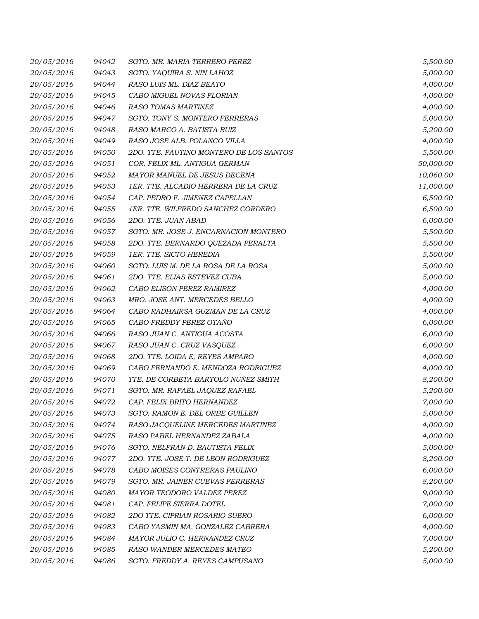| 20/05/2016 | 94042 | SGTO. MR. MARIA TERRERO PEREZ           | 5,500.00  |
|------------|-------|-----------------------------------------|-----------|
| 20/05/2016 | 94043 | SGTO. YAQUIRA S. NIN LAHOZ              | 5,000.00  |
| 20/05/2016 | 94044 | RASO LUIS ML. DIAZ BEATO                | 4,000.00  |
| 20/05/2016 | 94045 | CABO MIGUEL NOVAS FLORIAN               | 4,000.00  |
| 20/05/2016 | 94046 | RASO TOMAS MARTINEZ                     | 4,000.00  |
| 20/05/2016 | 94047 | SGTO. TONY S. MONTERO FERRERAS          | 5,000.00  |
| 20/05/2016 | 94048 | RASO MARCO A. BATISTA RUIZ              | 5,200.00  |
| 20/05/2016 | 94049 | RASO JOSE ALB. POLANCO VILLA            | 4,000.00  |
| 20/05/2016 | 94050 | 2DO. TTE. FAUTINO MONTERO DE LOS SANTOS | 5,500.00  |
| 20/05/2016 | 94051 | COR. FELIX ML. ANTIGUA GERMAN           | 50,000.00 |
| 20/05/2016 | 94052 | MAYOR MANUEL DE JESUS DECENA            | 10,060.00 |
| 20/05/2016 | 94053 | 1ER. TTE. ALCADIO HERRERA DE LA CRUZ    | 11,000.00 |
| 20/05/2016 | 94054 | CAP. PEDRO F. JIMENEZ CAPELLAN          | 6,500.00  |
| 20/05/2016 | 94055 | 1ER. TTE. WILFREDO SANCHEZ CORDERO      | 6,500.00  |
| 20/05/2016 | 94056 | 2DO. TTE. JUAN ABAD                     | 6,000.00  |
| 20/05/2016 | 94057 | SGTO. MR. JOSE J. ENCARNACION MONTERO   | 5,500.00  |
| 20/05/2016 | 94058 | 2DO. TTE. BERNARDO QUEZADA PERALTA      | 5,500.00  |
| 20/05/2016 | 94059 | 1ER. TTE. SICTO HEREDIA                 | 5,500.00  |
| 20/05/2016 | 94060 | SGTO. LUIS M. DE LA ROSA DE LA ROSA     | 5,000.00  |
| 20/05/2016 | 94061 | 2DO. TTE. ELIAS ESTEVEZ CUBA            | 5,000.00  |
| 20/05/2016 | 94062 | CABO ELISON PEREZ RAMIREZ               | 4,000.00  |
| 20/05/2016 | 94063 | MRO. JOSE ANT. MERCEDES BELLO           | 4,000.00  |
| 20/05/2016 | 94064 | CABO RADHAIRSA GUZMAN DE LA CRUZ        | 4,000.00  |
| 20/05/2016 | 94065 | CABO FREDDY PEREZ OTAÑO                 | 6,000.00  |
| 20/05/2016 | 94066 | RASO JUAN C. ANTIGUA ACOSTA             | 6,000.00  |
| 20/05/2016 | 94067 | RASO JUAN C. CRUZ VASQUEZ               | 6,000.00  |
| 20/05/2016 | 94068 | 2DO. TTE. LOIDA E, REYES AMPARO         | 4,000.00  |
| 20/05/2016 | 94069 | CABO FERNANDO E. MENDOZA RODRIGUEZ      | 4,000.00  |
| 20/05/2016 | 94070 | TTE. DE CORBETA BARTOLO NUÑEZ SMITH     | 8,200.00  |
| 20/05/2016 | 94071 | SGTO. MR. RAFAEL JAQUEZ RAFAEL          | 5,200.00  |
| 20/05/2016 | 94072 | CAP. FELIX BRITO HERNANDEZ              | 7,000.00  |
| 20/05/2016 | 94073 | SGTO. RAMON E. DEL ORBE GUILLEN         | 5,000.00  |
| 20/05/2016 | 94074 | RASO JACQUELINE MERCEDES MARTINEZ       | 4,000.00  |
| 20/05/2016 | 94075 | RASO PABEL HERNANDEZ ZABALA             | 4,000.00  |
| 20/05/2016 | 94076 | SGTO. NELFRAN D. BAUTISTA FELIX         | 5,000.00  |
| 20/05/2016 | 94077 | 2DO. TTE. JOSE T. DE LEON RODRIGUEZ     | 8,200.00  |
| 20/05/2016 | 94078 | CABO MOISES CONTRERAS PAULINO           | 6,000.00  |
| 20/05/2016 | 94079 | SGTO. MR. JAINER CUEVAS FERRERAS        | 8,200.00  |
| 20/05/2016 | 94080 | MAYOR TEODORO VALDEZ PEREZ              | 9,000.00  |
| 20/05/2016 | 94081 | CAP. FELIPE SIERRA DOTEL                | 7,000.00  |
| 20/05/2016 | 94082 | 2DO TTE. CIPRIAN ROSARIO SUERO          | 6,000.00  |
| 20/05/2016 | 94083 | CABO YASMIN MA. GONZALEZ CABRERA        | 4,000.00  |
| 20/05/2016 | 94084 | MAYOR JULIO C. HERNANDEZ CRUZ           | 7,000.00  |
| 20/05/2016 | 94085 | RASO WANDER MERCEDES MATEO              | 5,200.00  |
| 20/05/2016 | 94086 | SGTO. FREDDY A. REYES CAMPUSANO         | 5,000.00  |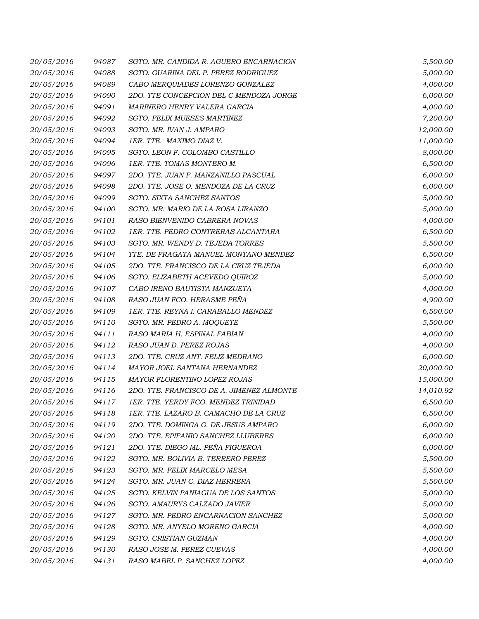| 20/05/2016 | 94087 | SGTO. MR. CANDIDA R. AGUERO ENCARNACION   | 5,500.00  |
|------------|-------|-------------------------------------------|-----------|
| 20/05/2016 | 94088 | SGTO. GUARINA DEL P. PEREZ RODRIGUEZ      | 5,000.00  |
| 20/05/2016 | 94089 | CABO MERQUIADES LORENZO GONZALEZ          | 4,000.00  |
| 20/05/2016 | 94090 | 2DO. TTE CONCEPCION DEL C MENDOZA JORGE   | 6,000.00  |
| 20/05/2016 | 94091 | MARINERO HENRY VALERA GARCIA              | 4,000.00  |
| 20/05/2016 | 94092 | SGTO. FELIX MUESES MARTINEZ               | 7,200.00  |
| 20/05/2016 | 94093 | SGTO. MR. IVAN J. AMPARO                  | 12,000.00 |
| 20/05/2016 | 94094 | 1ER. TTE. MAXIMO DIAZ V.                  | 11,000.00 |
| 20/05/2016 | 94095 | SGTO. LEON F. COLOMBO CASTILLO            | 8,000.00  |
| 20/05/2016 | 94096 | 1ER. TTE. TOMAS MONTERO M.                | 6,500.00  |
| 20/05/2016 | 94097 | 2DO. TTE. JUAN F. MANZANILLO PASCUAL      | 6,000.00  |
| 20/05/2016 | 94098 | 2DO. TTE. JOSE O. MENDOZA DE LA CRUZ      | 6,000.00  |
| 20/05/2016 | 94099 | SGTO. SIXTA SANCHEZ SANTOS                | 5,000.00  |
| 20/05/2016 | 94100 | SGTO. MR. MARIO DE LA ROSA LIRANZO        | 5,000.00  |
| 20/05/2016 | 94101 | RASO BIENVENIDO CABRERA NOVAS             | 4,000.00  |
| 20/05/2016 | 94102 | 1ER. TTE. PEDRO CONTRERAS ALCANTARA       | 6,500.00  |
| 20/05/2016 | 94103 | SGTO. MR. WENDY D. TEJEDA TORRES          | 5,500.00  |
| 20/05/2016 | 94104 | TTE. DE FRAGATA MANUEL MONTAÑO MENDEZ     | 6,500.00  |
| 20/05/2016 | 94105 | 2DO. TTE. FRANCISCO DE LA CRUZ TEJEDA     | 6,000.00  |
| 20/05/2016 | 94106 | SGTO. ELIZABETH ACEVEDO OUIROZ            | 5,000.00  |
| 20/05/2016 | 94107 | CABO IRENO BAUTISTA MANZUETA              | 4,000.00  |
| 20/05/2016 | 94108 | RASO JUAN FCO. HERASME PEÑA               | 4,900.00  |
| 20/05/2016 | 94109 | 1ER. TTE. REYNA I. CARABALLO MENDEZ       | 6,500.00  |
| 20/05/2016 | 94110 | SGTO. MR. PEDRO A. MOQUETE                | 5,500.00  |
| 20/05/2016 | 94111 | RASO MARIA H. ESPINAL FABIAN              | 4,000.00  |
| 20/05/2016 | 94112 | RASO JUAN D. PEREZ ROJAS                  | 4,000.00  |
| 20/05/2016 | 94113 | 2DO. TTE. CRUZ ANT. FELIZ MEDRANO         | 6,000.00  |
| 20/05/2016 | 94114 | MAYOR JOEL SANTANA HERNANDEZ              | 20,000.00 |
| 20/05/2016 | 94115 | MAYOR FLORENTINO LOPEZ ROJAS              | 15,000.00 |
| 20/05/2016 | 94116 | 2DO. TTE. FRANCISCO DE A. JIMENEZ ALMONTE | 14,010.92 |
| 20/05/2016 | 94117 | 1ER. TTE. YERDY FCO. MENDEZ TRINIDAD      | 6,500.00  |
| 20/05/2016 | 94118 | 1ER. TTE. LAZARO B. CAMACHO DE LA CRUZ    | 6,500.00  |
| 20/05/2016 | 94119 | 2DO. TTE. DOMINGA G. DE JESUS AMPARO      | 6,000.00  |
| 20/05/2016 | 94120 | 2DO. TTE. EPIFANIO SANCHEZ LLUBERES       | 6,000.00  |
| 20/05/2016 | 94121 | 2DO. TTE. DIEGO ML. PEÑA FIGUEROA         | 6,000.00  |
| 20/05/2016 | 94122 | SGTO. MR. BOLIVIA B. TERRERO PEREZ        | 5,500.00  |
| 20/05/2016 | 94123 | SGTO. MR. FELIX MARCELO MESA              | 5,500.00  |
| 20/05/2016 | 94124 | SGTO. MR. JUAN C. DIAZ HERRERA            | 5,500.00  |
| 20/05/2016 | 94125 | SGTO. KELVIN PANIAGUA DE LOS SANTOS       | 5,000.00  |
| 20/05/2016 | 94126 | SGTO. AMAURYS CALZADO JAVIER              | 5,000.00  |
| 20/05/2016 | 94127 | SGTO. MR. PEDRO ENCARNACION SANCHEZ       | 5,000.00  |
| 20/05/2016 | 94128 | SGTO. MR. ANYELO MORENO GARCIA            | 4,000.00  |
| 20/05/2016 | 94129 | SGTO. CRISTIAN GUZMAN                     | 4,000.00  |
| 20/05/2016 | 94130 | RASO JOSE M. PEREZ CUEVAS                 | 4,000.00  |
| 20/05/2016 | 94131 | RASO MABEL P. SANCHEZ LOPEZ               | 4,000.00  |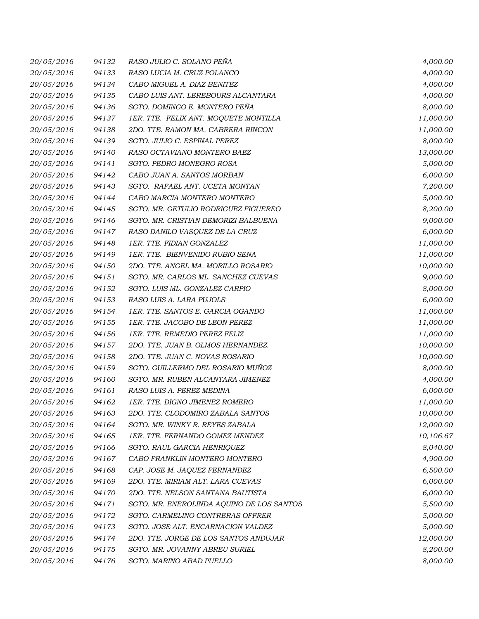| 20/05/2016 | 94132 | RASO JULIO C. SOLANO PEÑA                 | 4,000.00  |
|------------|-------|-------------------------------------------|-----------|
| 20/05/2016 | 94133 | RASO LUCIA M. CRUZ POLANCO                | 4,000.00  |
| 20/05/2016 | 94134 | CABO MIGUEL A. DIAZ BENITEZ               | 4,000.00  |
| 20/05/2016 | 94135 | CABO LUIS ANT. LEREBOURS ALCANTARA        | 4,000.00  |
| 20/05/2016 | 94136 | SGTO. DOMINGO E. MONTERO PEÑA             | 8,000.00  |
| 20/05/2016 | 94137 | 1ER. TTE. FELIX ANT. MOQUETE MONTILLA     | 11,000.00 |
| 20/05/2016 | 94138 | 2DO. TTE. RAMON MA. CABRERA RINCON        | 11,000.00 |
| 20/05/2016 | 94139 | SGTO. JULIO C. ESPINAL PEREZ              | 8,000.00  |
| 20/05/2016 | 94140 | RASO OCTAVIANO MONTERO BAEZ               | 13,000.00 |
| 20/05/2016 | 94141 | SGTO. PEDRO MONEGRO ROSA                  | 5,000.00  |
| 20/05/2016 | 94142 | CABO JUAN A. SANTOS MORBAN                | 6,000.00  |
| 20/05/2016 | 94143 | SGTO. RAFAEL ANT. UCETA MONTAN            | 7,200.00  |
| 20/05/2016 | 94144 | CABO MARCIA MONTERO MONTERO               | 5,000.00  |
| 20/05/2016 | 94145 | SGTO. MR. GETULIO RODRIGUEZ FIGUEREO      | 8,200.00  |
| 20/05/2016 | 94146 | SGTO. MR. CRISTIAN DEMORIZI BALBUENA      | 9,000.00  |
| 20/05/2016 | 94147 | RASO DANILO VASQUEZ DE LA CRUZ            | 6,000.00  |
| 20/05/2016 | 94148 | 1ER. TTE. FIDIAN GONZALEZ                 | 11,000.00 |
| 20/05/2016 | 94149 | 1ER. TTE. BIENVENIDO RUBIO SENA           | 11,000.00 |
| 20/05/2016 | 94150 | 2DO. TTE. ANGEL MA. MORILLO ROSARIO       | 10,000.00 |
| 20/05/2016 | 94151 | SGTO. MR. CARLOS ML. SANCHEZ CUEVAS       | 9,000.00  |
| 20/05/2016 | 94152 | SGTO. LUIS ML. GONZALEZ CARPIO            | 8,000.00  |
| 20/05/2016 | 94153 | RASO LUIS A. LARA PUJOLS                  | 6,000.00  |
| 20/05/2016 | 94154 | 1ER. TTE. SANTOS E. GARCIA OGANDO         | 11,000.00 |
| 20/05/2016 | 94155 | 1ER. TTE. JACOBO DE LEON PEREZ            | 11,000.00 |
| 20/05/2016 | 94156 | 1ER. TTE. REMEDIO PEREZ FELIZ             | 11,000.00 |
| 20/05/2016 | 94157 | 2DO. TTE. JUAN B. OLMOS HERNANDEZ.        | 10,000.00 |
| 20/05/2016 | 94158 | 2DO. TTE. JUAN C. NOVAS ROSARIO           | 10,000.00 |
| 20/05/2016 | 94159 | SGTO. GUILLERMO DEL ROSARIO MUÑOZ         | 8,000.00  |
| 20/05/2016 | 94160 | SGTO. MR. RUBEN ALCANTARA JIMENEZ         | 4,000.00  |
| 20/05/2016 | 94161 | RASO LUIS A. PEREZ MEDINA                 | 6,000.00  |
| 20/05/2016 | 94162 | 1ER. TTE. DIGNO JIMENEZ ROMERO            | 11,000.00 |
| 20/05/2016 | 94163 | 2DO. TTE. CLODOMIRO ZABALA SANTOS         | 10,000.00 |
| 20/05/2016 | 94164 | SGTO. MR. WINKY R. REYES ZABALA           | 12,000.00 |
| 20/05/2016 | 94165 | 1ER. TTE. FERNANDO GOMEZ MENDEZ           | 10,106.67 |
| 20/05/2016 | 94166 | SGTO. RAUL GARCIA HENRIQUEZ               | 8,040.00  |
| 20/05/2016 | 94167 | CABO FRANKLIN MONTERO MONTERO             | 4,900.00  |
| 20/05/2016 | 94168 | CAP. JOSE M. JAQUEZ FERNANDEZ             | 6,500.00  |
| 20/05/2016 | 94169 | 2DO. TTE. MIRIAM ALT. LARA CUEVAS         | 6,000.00  |
| 20/05/2016 | 94170 | 2DO. TTE. NELSON SANTANA BAUTISTA         | 6,000.00  |
| 20/05/2016 | 94171 | SGTO. MR. ENEROLINDA AQUINO DE LOS SANTOS | 5,500.00  |
| 20/05/2016 | 94172 | SGTO. CARMELINO CONTRERAS OFFRER          | 5,000.00  |
| 20/05/2016 | 94173 | SGTO. JOSE ALT. ENCARNACION VALDEZ        | 5,000.00  |
| 20/05/2016 | 94174 | 2DO. TTE. JORGE DE LOS SANTOS ANDUJAR     | 12,000.00 |
| 20/05/2016 | 94175 | SGTO. MR. JOVANNY ABREU SURIEL            | 8,200.00  |
| 20/05/2016 | 94176 | SGTO. MARINO ABAD PUELLO                  | 8,000.00  |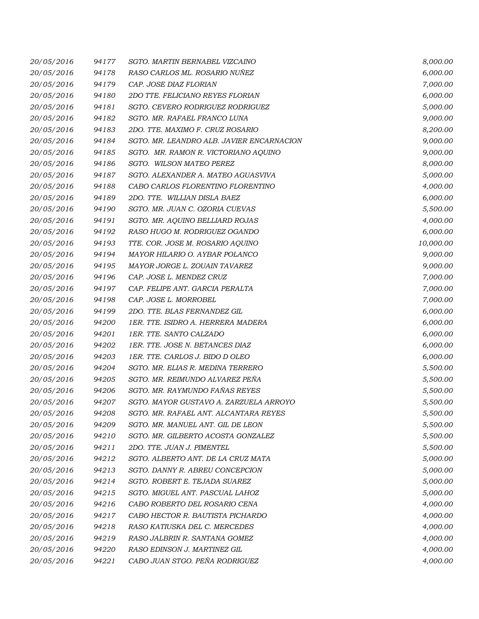| 20/05/2016 | 94177 | SGTO. MARTIN BERNABEL VIZCAINO            | 8,000.00  |
|------------|-------|-------------------------------------------|-----------|
| 20/05/2016 | 94178 | RASO CARLOS ML. ROSARIO NUÑEZ             | 6,000.00  |
| 20/05/2016 | 94179 | CAP. JOSE DIAZ FLORIAN                    | 7,000.00  |
| 20/05/2016 | 94180 | 2DO TTE, FELICIANO REYES FLORIAN          | 6,000.00  |
| 20/05/2016 | 94181 | SGTO. CEVERO RODRIGUEZ RODRIGUEZ          | 5,000.00  |
| 20/05/2016 | 94182 | SGTO. MR. RAFAEL FRANCO LUNA              | 9,000.00  |
| 20/05/2016 | 94183 | 2DO. TTE. MAXIMO F. CRUZ ROSARIO          | 8,200.00  |
| 20/05/2016 | 94184 | SGTO. MR. LEANDRO ALB. JAVIER ENCARNACION | 9,000.00  |
| 20/05/2016 | 94185 | SGTO. MR. RAMON R. VICTORIANO AQUINO      | 9,000.00  |
| 20/05/2016 | 94186 | SGTO. WILSON MATEO PEREZ                  | 8,000.00  |
| 20/05/2016 | 94187 | SGTO. ALEXANDER A. MATEO AGUASVIVA        | 5,000.00  |
| 20/05/2016 | 94188 | CABO CARLOS FLORENTINO FLORENTINO         | 4,000.00  |
| 20/05/2016 | 94189 | 2DO. TTE. WILLIAN DISLA BAEZ              | 6,000.00  |
| 20/05/2016 | 94190 | SGTO. MR. JUAN C. OZORIA CUEVAS           | 5,500.00  |
| 20/05/2016 | 94191 | SGTO. MR. AQUINO BELLIARD ROJAS           | 4,000.00  |
| 20/05/2016 | 94192 | RASO HUGO M. RODRIGUEZ OGANDO             | 6,000.00  |
| 20/05/2016 | 94193 | TTE. COR. JOSE M. ROSARIO AQUINO          | 10,000.00 |
| 20/05/2016 | 94194 | MAYOR HILARIO O. AYBAR POLANCO            | 9,000.00  |
| 20/05/2016 | 94195 | MAYOR JORGE L. ZOUAIN TAVAREZ             | 9,000.00  |
| 20/05/2016 | 94196 | CAP. JOSE L. MENDEZ CRUZ                  | 7,000.00  |
| 20/05/2016 | 94197 | CAP. FELIPE ANT. GARCIA PERALTA           | 7,000.00  |
| 20/05/2016 | 94198 | CAP. JOSE L. MORROBEL                     | 7,000.00  |
| 20/05/2016 | 94199 | 2DO. TTE. BLAS FERNANDEZ GIL              | 6,000.00  |
| 20/05/2016 | 94200 | 1ER. TTE. ISIDRO A. HERRERA MADERA        | 6,000.00  |
| 20/05/2016 | 94201 | 1ER. TTE. SANTO CALZADO                   | 6,000.00  |
| 20/05/2016 | 94202 | 1ER. TTE. JOSE N. BETANCES DIAZ           | 6,000.00  |
| 20/05/2016 | 94203 | 1ER. TTE. CARLOS J. BIDO D OLEO           | 6,000.00  |
| 20/05/2016 | 94204 | SGTO. MR. ELIAS R. MEDINA TERRERO         | 5,500.00  |
| 20/05/2016 | 94205 | SGTO. MR. REIMUNDO ALVAREZ PEÑA           | 5,500.00  |
| 20/05/2016 | 94206 | SGTO. MR. RAYMUNDO FAÑAS REYES            | 5,500.00  |
| 20/05/2016 | 94207 | SGTO. MAYOR GUSTAVO A. ZARZUELA ARROYO    | 5,500.00  |
| 20/05/2016 | 94208 | SGTO. MR. RAFAEL ANT. ALCANTARA REYES     | 5,500.00  |
| 20/05/2016 | 94209 | SGTO. MR. MANUEL ANT. GIL DE LEON         | 5,500.00  |
| 20/05/2016 | 94210 | SGTO. MR. GILBERTO ACOSTA GONZALEZ        | 5,500.00  |
| 20/05/2016 | 94211 | 2DO. TTE. JUAN J. PIMENTEL                | 5,500.00  |
| 20/05/2016 | 94212 | SGTO. ALBERTO ANT. DE LA CRUZ MATA        | 5,000.00  |
| 20/05/2016 | 94213 | SGTO. DANNY R. ABREU CONCEPCION           | 5,000.00  |
| 20/05/2016 | 94214 | SGTO. ROBERT E. TEJADA SUAREZ             | 5,000.00  |
| 20/05/2016 | 94215 | SGTO. MIGUEL ANT. PASCUAL LAHOZ           | 5,000.00  |
| 20/05/2016 | 94216 | CABO ROBERTO DEL ROSARIO CENA             | 4,000.00  |
| 20/05/2016 | 94217 | CABO HECTOR R. BAUTISTA PICHARDO          | 4,000.00  |
| 20/05/2016 | 94218 | RASO KATIUSKA DEL C. MERCEDES             | 4,000.00  |
| 20/05/2016 | 94219 | RASO JALBRIN R. SANTANA GOMEZ             | 4,000.00  |
| 20/05/2016 | 94220 | RASO EDINSON J. MARTINEZ GIL              | 4,000.00  |
| 20/05/2016 | 94221 | CABO JUAN STGO. PEÑA RODRIGUEZ            | 4,000.00  |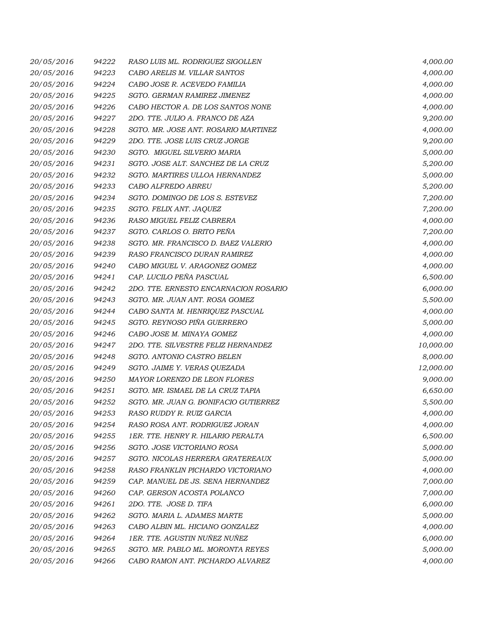| 20/05/2016 | 94222 | RASO LUIS ML. RODRIGUEZ SIGOLLEN      | 4,000.00  |
|------------|-------|---------------------------------------|-----------|
| 20/05/2016 | 94223 | CABO ARELIS M. VILLAR SANTOS          | 4,000.00  |
| 20/05/2016 | 94224 | CABO JOSE R. ACEVEDO FAMILIA          | 4,000.00  |
| 20/05/2016 | 94225 | SGTO. GERMAN RAMIREZ JIMENEZ          | 4,000.00  |
| 20/05/2016 | 94226 | CABO HECTOR A. DE LOS SANTOS NONE     | 4,000.00  |
| 20/05/2016 | 94227 | 2DO. TTE. JULIO A. FRANCO DE AZA      | 9,200.00  |
| 20/05/2016 | 94228 | SGTO. MR. JOSE ANT. ROSARIO MARTINEZ  | 4,000.00  |
| 20/05/2016 | 94229 | 2DO. TTE. JOSE LUIS CRUZ JORGE        | 9,200.00  |
| 20/05/2016 | 94230 | SGTO. MIGUEL SILVERIO MARIA           | 5,000.00  |
| 20/05/2016 | 94231 | SGTO. JOSE ALT. SANCHEZ DE LA CRUZ    | 5,200.00  |
| 20/05/2016 | 94232 | SGTO. MARTIRES ULLOA HERNANDEZ        | 5,000.00  |
| 20/05/2016 | 94233 | CABO ALFREDO ABREU                    | 5,200.00  |
| 20/05/2016 | 94234 | SGTO. DOMINGO DE LOS S. ESTEVEZ       | 7,200.00  |
| 20/05/2016 | 94235 | SGTO. FELIX ANT. JAQUEZ               | 7,200.00  |
| 20/05/2016 | 94236 | RASO MIGUEL FELIZ CABRERA             | 4,000.00  |
| 20/05/2016 | 94237 | SGTO. CARLOS O. BRITO PEÑA            | 7,200.00  |
| 20/05/2016 | 94238 | SGTO. MR. FRANCISCO D. BAEZ VALERIO   | 4,000.00  |
| 20/05/2016 | 94239 | RASO FRANCISCO DURAN RAMIREZ          | 4,000.00  |
| 20/05/2016 | 94240 | CABO MIGUEL V. ARAGONEZ GOMEZ         | 4,000.00  |
| 20/05/2016 | 94241 | CAP. LUCILO PEÑA PASCUAL              | 6,500.00  |
| 20/05/2016 | 94242 | 2DO. TTE. ERNESTO ENCARNACION ROSARIO | 6,000.00  |
| 20/05/2016 | 94243 | SGTO. MR. JUAN ANT. ROSA GOMEZ        | 5,500.00  |
| 20/05/2016 | 94244 | CABO SANTA M. HENRIQUEZ PASCUAL       | 4,000.00  |
| 20/05/2016 | 94245 | SGTO. REYNOSO PIÑA GUERRERO           | 5,000.00  |
| 20/05/2016 | 94246 | CABO JOSE M. MINAYA GOMEZ             | 4,000.00  |
| 20/05/2016 | 94247 | 2DO. TTE. SILVESTRE FELIZ HERNANDEZ   | 10,000.00 |
| 20/05/2016 | 94248 | SGTO. ANTONIO CASTRO BELEN            | 8,000.00  |
| 20/05/2016 | 94249 | SGTO. JAIME Y. VERAS QUEZADA          | 12,000.00 |
| 20/05/2016 | 94250 | MAYOR LORENZO DE LEON FLORES          | 9,000.00  |
| 20/05/2016 | 94251 | SGTO. MR. ISMAEL DE LA CRUZ TAPIA     | 6,650.00  |
| 20/05/2016 | 94252 | SGTO. MR. JUAN G. BONIFACIO GUTIERREZ | 5,500.00  |
| 20/05/2016 | 94253 | RASO RUDDY R. RUIZ GARCIA             | 4,000.00  |
| 20/05/2016 | 94254 | RASO ROSA ANT. RODRIGUEZ JORAN        | 4,000.00  |
| 20/05/2016 | 94255 | 1ER. TTE. HENRY R. HILARIO PERALTA    | 6,500.00  |
| 20/05/2016 | 94256 | SGTO. JOSE VICTORIANO ROSA            | 5,000.00  |
| 20/05/2016 | 94257 | SGTO. NICOLAS HERRERA GRATEREAUX      | 5,000.00  |
| 20/05/2016 | 94258 | RASO FRANKLIN PICHARDO VICTORIANO     | 4,000.00  |
| 20/05/2016 | 94259 | CAP. MANUEL DE JS. SENA HERNANDEZ     | 7,000.00  |
| 20/05/2016 | 94260 | CAP. GERSON ACOSTA POLANCO            | 7,000.00  |
| 20/05/2016 | 94261 | 2DO. TTE. JOSE D. TIFA                | 6,000.00  |
| 20/05/2016 | 94262 | SGTO. MARIA L. ADAMES MARTE           | 5,000.00  |
| 20/05/2016 | 94263 | CABO ALBIN ML. HICIANO GONZALEZ       | 4,000.00  |
| 20/05/2016 | 94264 | 1ER. TTE. AGUSTIN NUÑEZ NUÑEZ         | 6,000.00  |
| 20/05/2016 | 94265 | SGTO. MR. PABLO ML. MORONTA REYES     | 5,000.00  |
| 20/05/2016 | 94266 | CABO RAMON ANT. PICHARDO ALVAREZ      | 4,000.00  |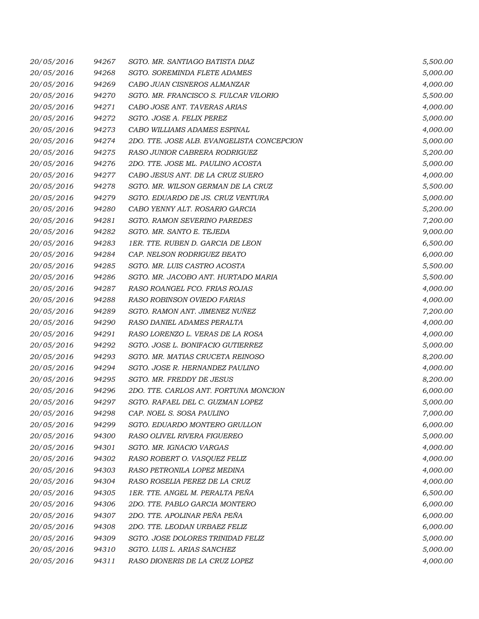| 20/05/2016 | 94267 | SGTO. MR. SANTIAGO BATISTA DIAZ            | 5,500.00 |
|------------|-------|--------------------------------------------|----------|
| 20/05/2016 | 94268 | SGTO. SOREMINDA FLETE ADAMES               | 5,000.00 |
| 20/05/2016 | 94269 | CABO JUAN CISNEROS ALMANZAR                | 4,000.00 |
| 20/05/2016 | 94270 | SGTO. MR. FRANCISCO S. FULCAR VILORIO      | 5,500.00 |
| 20/05/2016 | 94271 | CABO JOSE ANT. TAVERAS ARIAS               | 4,000.00 |
| 20/05/2016 | 94272 | SGTO. JOSE A. FELIX PEREZ                  | 5,000.00 |
| 20/05/2016 | 94273 | CABO WILLIAMS ADAMES ESPINAL               | 4,000.00 |
| 20/05/2016 | 94274 | 2DO. TTE. JOSE ALB. EVANGELISTA CONCEPCION | 5,000.00 |
| 20/05/2016 | 94275 | RASO JUNIOR CABRERA RODRIGUEZ              | 5,200.00 |
| 20/05/2016 | 94276 | 2DO. TTE. JOSE ML. PAULINO ACOSTA          | 5,000.00 |
| 20/05/2016 | 94277 | CABO JESUS ANT. DE LA CRUZ SUERO           | 4,000.00 |
| 20/05/2016 | 94278 | SGTO. MR. WILSON GERMAN DE LA CRUZ         | 5,500.00 |
| 20/05/2016 | 94279 | SGTO. EDUARDO DE JS. CRUZ VENTURA          | 5,000.00 |
| 20/05/2016 | 94280 | CABO YENNY ALT. ROSARIO GARCIA             | 5,200.00 |
| 20/05/2016 | 94281 | <b>SGTO. RAMON SEVERINO PAREDES</b>        | 7,200.00 |
| 20/05/2016 | 94282 | SGTO. MR. SANTO E. TEJEDA                  | 9,000.00 |
| 20/05/2016 | 94283 | 1ER. TTE. RUBEN D. GARCIA DE LEON          | 6,500.00 |
| 20/05/2016 | 94284 | CAP. NELSON RODRIGUEZ BEATO                | 6,000.00 |
| 20/05/2016 | 94285 | SGTO. MR. LUIS CASTRO ACOSTA               | 5,500.00 |
| 20/05/2016 | 94286 | SGTO. MR. JACOBO ANT. HURTADO MARIA        | 5,500.00 |
| 20/05/2016 | 94287 | RASO ROANGEL FCO. FRIAS ROJAS              | 4,000.00 |
| 20/05/2016 | 94288 | RASO ROBINSON OVIEDO FARIAS                | 4,000.00 |
| 20/05/2016 | 94289 | SGTO. RAMON ANT. JIMENEZ NUÑEZ             | 7,200.00 |
| 20/05/2016 | 94290 | RASO DANIEL ADAMES PERALTA                 | 4,000.00 |
| 20/05/2016 | 94291 | RASO LORENZO L. VERAS DE LA ROSA           | 4,000.00 |
| 20/05/2016 | 94292 | SGTO. JOSE L. BONIFACIO GUTIERREZ          | 5,000.00 |
| 20/05/2016 | 94293 | SGTO. MR. MATIAS CRUCETA REINOSO           | 8,200.00 |
| 20/05/2016 | 94294 | SGTO. JOSE R. HERNANDEZ PAULINO            | 4,000.00 |
| 20/05/2016 | 94295 | SGTO. MR. FREDDY DE JESUS                  | 8,200.00 |
| 20/05/2016 | 94296 | 2DO. TTE. CARLOS ANT. FORTUNA MONCION      | 6,000.00 |
| 20/05/2016 | 94297 | SGTO. RAFAEL DEL C. GUZMAN LOPEZ           | 5,000.00 |
| 20/05/2016 | 94298 | CAP. NOEL S. SOSA PAULINO                  | 7,000.00 |
| 20/05/2016 | 94299 | SGTO. EDUARDO MONTERO GRULLON              | 6,000.00 |
| 20/05/2016 | 94300 | RASO OLIVEL RIVERA FIGUEREO                | 5,000.00 |
| 20/05/2016 | 94301 | SGTO. MR. IGNACIO VARGAS                   | 4,000.00 |
| 20/05/2016 | 94302 | RASO ROBERT O. VASQUEZ FELIZ               | 4,000.00 |
| 20/05/2016 | 94303 | RASO PETRONILA LOPEZ MEDINA                | 4,000.00 |
| 20/05/2016 | 94304 | RASO ROSELIA PEREZ DE LA CRUZ              | 4,000.00 |
| 20/05/2016 | 94305 | 1ER. TTE. ANGEL M. PERALTA PEÑA            | 6,500.00 |
| 20/05/2016 | 94306 | 2DO. TTE. PABLO GARCIA MONTERO             | 6,000.00 |
| 20/05/2016 | 94307 | 2DO. TTE. APOLINAR PEÑA PEÑA               | 6,000.00 |
| 20/05/2016 | 94308 | 2DO. TTE. LEODAN URBAEZ FELIZ              | 6,000.00 |
| 20/05/2016 | 94309 | SGTO. JOSE DOLORES TRINIDAD FELIZ          | 5,000.00 |
| 20/05/2016 | 94310 | SGTO. LUIS L. ARIAS SANCHEZ                | 5,000.00 |
| 20/05/2016 | 94311 | RASO DIONERIS DE LA CRUZ LOPEZ             | 4,000.00 |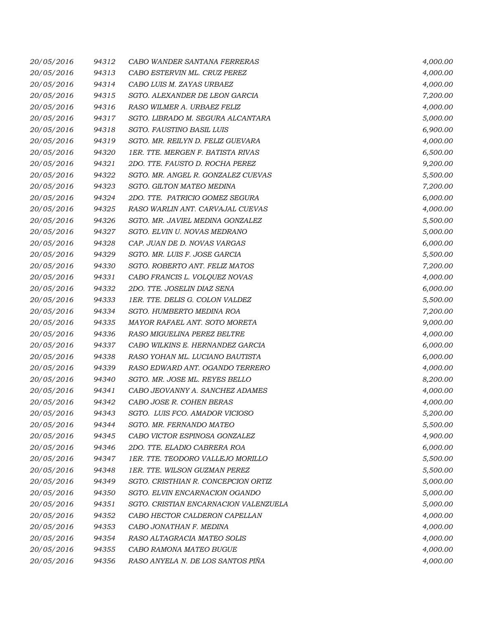| 20/05/2016 | 94312 | CABO WANDER SANTANA FERRERAS          | 4,000.00 |
|------------|-------|---------------------------------------|----------|
| 20/05/2016 | 94313 | CABO ESTERVIN ML. CRUZ PEREZ          | 4,000.00 |
| 20/05/2016 | 94314 | CABO LUIS M. ZAYAS URBAEZ             | 4,000.00 |
| 20/05/2016 | 94315 | SGTO. ALEXANDER DE LEON GARCIA        | 7,200.00 |
| 20/05/2016 | 94316 | RASO WILMER A. URBAEZ FELIZ           | 4,000.00 |
| 20/05/2016 | 94317 | SGTO. LIBRADO M. SEGURA ALCANTARA     | 5,000.00 |
| 20/05/2016 | 94318 | SGTO. FAUSTINO BASIL LUIS             | 6,900.00 |
| 20/05/2016 | 94319 | SGTO. MR. REILYN D. FELIZ GUEVARA     | 4,000.00 |
| 20/05/2016 | 94320 | 1ER. TTE. MERGEN F. BATISTA RIVAS     | 6,500.00 |
| 20/05/2016 | 94321 | 2DO. TTE. FAUSTO D. ROCHA PEREZ       | 9,200.00 |
| 20/05/2016 | 94322 | SGTO. MR. ANGEL R. GONZALEZ CUEVAS    | 5,500.00 |
| 20/05/2016 | 94323 | SGTO. GILTON MATEO MEDINA             | 7,200.00 |
| 20/05/2016 | 94324 | 2DO. TTE. PATRICIO GOMEZ SEGURA       | 6,000.00 |
| 20/05/2016 | 94325 | RASO WARLIN ANT. CARVAJAL CUEVAS      | 4,000.00 |
| 20/05/2016 | 94326 | SGTO. MR. JAVIEL MEDINA GONZALEZ      | 5,500.00 |
| 20/05/2016 | 94327 | SGTO. ELVIN U. NOVAS MEDRANO          | 5,000.00 |
| 20/05/2016 | 94328 | CAP. JUAN DE D. NOVAS VARGAS          | 6,000.00 |
| 20/05/2016 | 94329 | SGTO. MR. LUIS F. JOSE GARCIA         | 5,500.00 |
| 20/05/2016 | 94330 | SGTO. ROBERTO ANT. FELIZ MATOS        | 7,200.00 |
| 20/05/2016 | 94331 | CABO FRANCIS L. VOLQUEZ NOVAS         | 4,000.00 |
| 20/05/2016 | 94332 | 2DO. TTE. JOSELIN DIAZ SENA           | 6,000.00 |
| 20/05/2016 | 94333 | 1ER. TTE. DELIS G. COLON VALDEZ       | 5,500.00 |
| 20/05/2016 | 94334 | SGTO. HUMBERTO MEDINA ROA             | 7,200.00 |
| 20/05/2016 | 94335 | MAYOR RAFAEL ANT. SOTO MORETA         | 9,000.00 |
| 20/05/2016 | 94336 | RASO MIGUELINA PEREZ BELTRE           | 4,000.00 |
| 20/05/2016 | 94337 | CABO WILKINS E. HERNANDEZ GARCIA      | 6,000.00 |
| 20/05/2016 | 94338 | RASO YOHAN ML. LUCIANO BAUTISTA       | 6,000.00 |
| 20/05/2016 | 94339 | RASO EDWARD ANT. OGANDO TERRERO       | 4,000.00 |
| 20/05/2016 | 94340 | SGTO. MR. JOSE ML. REYES BELLO        | 8,200.00 |
| 20/05/2016 | 94341 | CABO JEOVANNY A. SANCHEZ ADAMES       | 4,000.00 |
| 20/05/2016 | 94342 | CABO JOSE R. COHEN BERAS              | 4,000.00 |
| 20/05/2016 | 94343 | SGTO. LUIS FCO. AMADOR VICIOSO        | 5,200.00 |
| 20/05/2016 | 94344 | SGTO. MR. FERNANDO MATEO              | 5,500.00 |
| 20/05/2016 | 94345 | CABO VICTOR ESPINOSA GONZALEZ         | 4,900.00 |
| 20/05/2016 | 94346 | 2DO. TTE. ELADIO CABRERA ROA          | 6,000.00 |
| 20/05/2016 | 94347 | 1ER. TTE. TEODORO VALLEJO MORILLO     | 5,500.00 |
| 20/05/2016 | 94348 | 1ER. TTE. WILSON GUZMAN PEREZ         | 5,500.00 |
| 20/05/2016 | 94349 | SGTO. CRISTHIAN R. CONCEPCION ORTIZ   | 5,000.00 |
| 20/05/2016 | 94350 | SGTO. ELVIN ENCARNACION OGANDO        | 5,000.00 |
| 20/05/2016 | 94351 | SGTO. CRISTIAN ENCARNACION VALENZUELA | 5,000.00 |
| 20/05/2016 | 94352 | CABO HECTOR CALDERON CAPELLAN         | 4,000.00 |
| 20/05/2016 | 94353 | CABO JONATHAN F. MEDINA               | 4,000.00 |
| 20/05/2016 | 94354 | RASO ALTAGRACIA MATEO SOLIS           | 4,000.00 |
| 20/05/2016 | 94355 | CABO RAMONA MATEO BUGUE               | 4,000.00 |
| 20/05/2016 | 94356 | RASO ANYELA N. DE LOS SANTOS PIÑA     | 4,000.00 |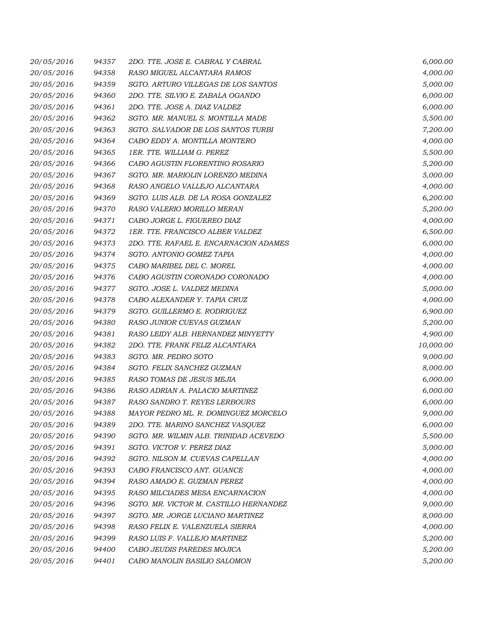| 20/05/2016 | 94357 | 2DO. TTE. JOSE E. CABRAL Y CABRAL      | 6,000.00  |
|------------|-------|----------------------------------------|-----------|
| 20/05/2016 | 94358 | RASO MIGUEL ALCANTARA RAMOS            | 4,000.00  |
| 20/05/2016 | 94359 | SGTO. ARTURO VILLEGAS DE LOS SANTOS    | 5,000.00  |
| 20/05/2016 | 94360 | 2DO. TTE. SILVIO E. ZABALA OGANDO      | 6,000.00  |
| 20/05/2016 | 94361 | 2DO. TTE. JOSE A. DIAZ VALDEZ          | 6,000.00  |
| 20/05/2016 | 94362 | SGTO. MR. MANUEL S. MONTILLA MADE      | 5,500.00  |
| 20/05/2016 | 94363 | SGTO. SALVADOR DE LOS SANTOS TURBI     | 7,200.00  |
| 20/05/2016 | 94364 | CABO EDDY A. MONTILLA MONTERO          | 4,000.00  |
| 20/05/2016 | 94365 | 1ER. TTE. WILLIAM G. PEREZ             | 5,500.00  |
| 20/05/2016 | 94366 | CABO AGUSTIN FLORENTINO ROSARIO        | 5,200.00  |
| 20/05/2016 | 94367 | SGTO. MR. MARIOLIN LORENZO MEDINA      | 5,000.00  |
| 20/05/2016 | 94368 | RASO ANGELO VALLEJO ALCANTARA          | 4,000.00  |
| 20/05/2016 | 94369 | SGTO. LUIS ALB. DE LA ROSA GONZALEZ    | 6,200.00  |
| 20/05/2016 | 94370 | RASO VALERIO MORILLO MERAN             | 5,200.00  |
| 20/05/2016 | 94371 | CABO JORGE L. FIGUEREO DIAZ            | 4,000.00  |
| 20/05/2016 | 94372 | 1ER. TTE. FRANCISCO ALBER VALDEZ       | 6,500.00  |
| 20/05/2016 | 94373 | 2DO. TTE. RAFAEL E. ENCARNACION ADAMES | 6,000.00  |
| 20/05/2016 | 94374 | SGTO. ANTONIO GOMEZ TAPIA              | 4,000.00  |
| 20/05/2016 | 94375 | CABO MARIBEL DEL C. MOREL              | 4,000.00  |
| 20/05/2016 | 94376 | CABO AGUSTIN CORONADO CORONADO         | 4,000.00  |
| 20/05/2016 | 94377 | SGTO. JOSE L. VALDEZ MEDINA            | 5,000.00  |
| 20/05/2016 | 94378 | CABO ALEXANDER Y. TAPIA CRUZ           | 4,000.00  |
| 20/05/2016 | 94379 | SGTO. GUILLERMO E. RODRIGUEZ           | 6,900.00  |
| 20/05/2016 | 94380 | RASO JUNIOR CUEVAS GUZMAN              | 5,200.00  |
| 20/05/2016 | 94381 | RASO LEIDY ALB. HERNANDEZ MINYETTY     | 4,900.00  |
| 20/05/2016 | 94382 | 2DO. TTE. FRANK FELIZ ALCANTARA        | 10,000.00 |
| 20/05/2016 | 94383 | SGTO. MR. PEDRO SOTO                   | 9,000.00  |
| 20/05/2016 | 94384 | SGTO. FELIX SANCHEZ GUZMAN             | 8,000.00  |
| 20/05/2016 | 94385 | RASO TOMAS DE JESUS MEJIA              | 6,000.00  |
| 20/05/2016 | 94386 | RASO ADRIAN A. PALACIO MARTINEZ        | 6,000.00  |
| 20/05/2016 | 94387 | RASO SANDRO T. REYES LERBOURS          | 6,000.00  |
| 20/05/2016 | 94388 | MAYOR PEDRO ML. R. DOMINGUEZ MORCELO   | 9,000.00  |
| 20/05/2016 | 94389 | 2DO. TTE. MARINO SANCHEZ VASQUEZ       | 6,000.00  |
| 20/05/2016 | 94390 | SGTO. MR. WILMIN ALB. TRINIDAD ACEVEDO | 5,500.00  |
| 20/05/2016 | 94391 | SGTO. VICTOR V. PEREZ DIAZ             | 5,000.00  |
| 20/05/2016 | 94392 | SGTO. NILSON M. CUEVAS CAPELLAN        | 4,000.00  |
| 20/05/2016 | 94393 | CABO FRANCISCO ANT. GUANCE             | 4,000.00  |
| 20/05/2016 | 94394 | RASO AMADO E. GUZMAN PEREZ             | 4,000.00  |
| 20/05/2016 | 94395 | RASO MILCIADES MESA ENCARNACION        | 4,000.00  |
| 20/05/2016 | 94396 | SGTO. MR. VICTOR M. CASTILLO HERNANDEZ | 9,000.00  |
| 20/05/2016 | 94397 | SGTO. MR. JORGE LUCIANO MARTINEZ       | 8,000.00  |
| 20/05/2016 | 94398 | RASO FELIX E. VALENZUELA SIERRA        | 4,000.00  |
| 20/05/2016 | 94399 | RASO LUIS F. VALLEJO MARTINEZ          | 5,200.00  |
| 20/05/2016 | 94400 | CABO JEUDIS PAREDES MOJICA             | 5,200.00  |
| 20/05/2016 | 94401 | CABO MANOLIN BASILIO SALOMON           | 5,200.00  |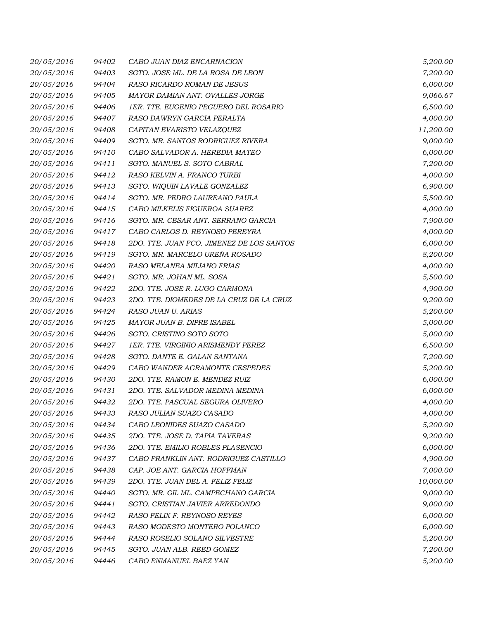| 20/05/2016 | 94402 | CABO JUAN DIAZ ENCARNACION                | 5,200.00  |
|------------|-------|-------------------------------------------|-----------|
| 20/05/2016 | 94403 | SGTO. JOSE ML. DE LA ROSA DE LEON         | 7,200.00  |
| 20/05/2016 | 94404 | RASO RICARDO ROMAN DE JESUS               | 6,000.00  |
| 20/05/2016 | 94405 | MAYOR DAMIAN ANT. OVALLES JORGE           | 9,066.67  |
| 20/05/2016 | 94406 | 1ER. TTE. EUGENIO PEGUERO DEL ROSARIO     | 6,500.00  |
| 20/05/2016 | 94407 | RASO DAWRYN GARCIA PERALTA                | 4,000.00  |
| 20/05/2016 | 94408 | CAPITAN EVARISTO VELAZQUEZ                | 11,200.00 |
| 20/05/2016 | 94409 | SGTO. MR. SANTOS RODRIGUEZ RIVERA         | 9,000.00  |
| 20/05/2016 | 94410 | CABO SALVADOR A. HEREDIA MATEO            | 6,000.00  |
| 20/05/2016 | 94411 | SGTO. MANUEL S. SOTO CABRAL               | 7,200.00  |
| 20/05/2016 | 94412 | RASO KELVIN A. FRANCO TURBI               | 4,000.00  |
| 20/05/2016 | 94413 | SGTO. WIQUIN LAVALE GONZALEZ              | 6,900.00  |
| 20/05/2016 | 94414 | SGTO. MR. PEDRO LAUREANO PAULA            | 5,500.00  |
| 20/05/2016 | 94415 | CABO MILKELIS FIGUEROA SUAREZ             | 4,000.00  |
| 20/05/2016 | 94416 | SGTO. MR. CESAR ANT. SERRANO GARCIA       | 7,900.00  |
| 20/05/2016 | 94417 | CABO CARLOS D. REYNOSO PEREYRA            | 4,000.00  |
| 20/05/2016 | 94418 | 2DO. TTE. JUAN FCO. JIMENEZ DE LOS SANTOS | 6,000.00  |
| 20/05/2016 | 94419 | SGTO. MR. MARCELO UREÑA ROSADO            | 8,200.00  |
| 20/05/2016 | 94420 | RASO MELANEA MILIANO FRIAS                | 4,000.00  |
| 20/05/2016 | 94421 | SGTO. MR. JOHAN ML. SOSA                  | 5,500.00  |
| 20/05/2016 | 94422 | 2DO. TTE. JOSE R. LUGO CARMONA            | 4,900.00  |
| 20/05/2016 | 94423 | 2DO. TTE. DIOMEDES DE LA CRUZ DE LA CRUZ  | 9,200.00  |
| 20/05/2016 | 94424 | RASO JUAN U. ARIAS                        | 5,200.00  |
| 20/05/2016 | 94425 | MAYOR JUAN B. DIPRE ISABEL                | 5,000.00  |
| 20/05/2016 | 94426 | SGTO. CRISTINO SOTO SOTO                  | 5,000.00  |
| 20/05/2016 | 94427 | 1ER. TTE. VIRGINIO ARISMENDY PEREZ        | 6,500.00  |
| 20/05/2016 | 94428 | SGTO. DANTE E. GALAN SANTANA              | 7,200.00  |
| 20/05/2016 | 94429 | CABO WANDER AGRAMONTE CESPEDES            | 5,200.00  |
| 20/05/2016 | 94430 | 2DO. TTE. RAMON E. MENDEZ RUIZ            | 6,000.00  |
| 20/05/2016 | 94431 | 2DO. TTE. SALVADOR MEDINA MEDINA          | 6,000.00  |
| 20/05/2016 | 94432 | 2DO. TTE. PASCUAL SEGURA OLIVERO          | 4,000.00  |
| 20/05/2016 | 94433 | RASO JULIAN SUAZO CASADO                  | 4,000.00  |
| 20/05/2016 | 94434 | CABO LEONIDES SUAZO CASADO                | 5,200.00  |
| 20/05/2016 | 94435 | 2DO. TTE. JOSE D. TAPIA TAVERAS           | 9,200.00  |
| 20/05/2016 | 94436 | 2DO. TTE. EMILIO ROBLES PLASENCIO         | 6,000.00  |
| 20/05/2016 | 94437 | CABO FRANKLIN ANT. RODRIGUEZ CASTILLO     | 4,900.00  |
| 20/05/2016 | 94438 | CAP. JOE ANT. GARCIA HOFFMAN              | 7,000.00  |
| 20/05/2016 | 94439 | 2DO. TTE. JUAN DEL A. FELIZ FELIZ         | 10,000.00 |
| 20/05/2016 | 94440 | SGTO. MR. GIL ML. CAMPECHANO GARCIA       | 9,000.00  |
| 20/05/2016 | 94441 | SGTO. CRISTIAN JAVIER ARREDONDO           | 9,000.00  |
| 20/05/2016 | 94442 | RASO FELIX F. REYNOSO REYES               | 6,000.00  |
| 20/05/2016 | 94443 | RASO MODESTO MONTERO POLANCO              | 6,000.00  |
| 20/05/2016 | 94444 | RASO ROSELIO SOLANO SILVESTRE             | 5,200.00  |
| 20/05/2016 | 94445 | SGTO. JUAN ALB. REED GOMEZ                | 7,200.00  |
| 20/05/2016 | 94446 | CABO ENMANUEL BAEZ YAN                    | 5,200.00  |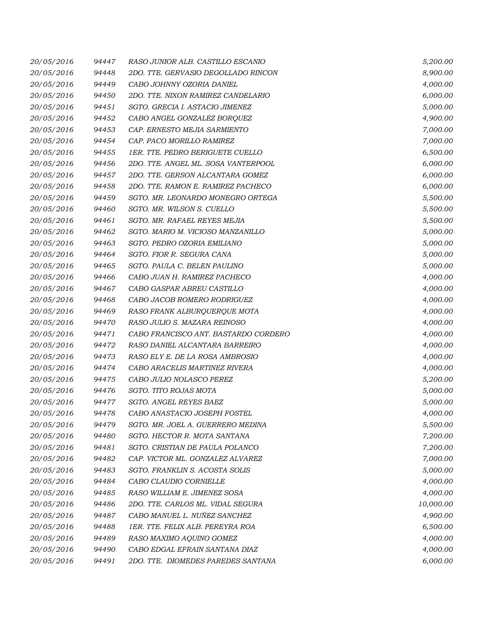| 20/05/2016 | 94447 | RASO JUNIOR ALB. CASTILLO ESCANIO    | 5,200.00  |
|------------|-------|--------------------------------------|-----------|
| 20/05/2016 | 94448 | 2DO. TTE. GERVASIO DEGOLLADO RINCON  | 8,900.00  |
| 20/05/2016 | 94449 | CABO JOHNNY OZORIA DANIEL            | 4,000.00  |
| 20/05/2016 | 94450 | 2DO. TTE. NIXON RAMIREZ CANDELARIO   | 6,000.00  |
| 20/05/2016 | 94451 | SGTO. GRECIA I. ASTACIO JIMENEZ      | 5,000.00  |
| 20/05/2016 | 94452 | CABO ANGEL GONZALEZ BORQUEZ          | 4,900.00  |
| 20/05/2016 | 94453 | CAP. ERNESTO MEJIA SARMIENTO         | 7,000.00  |
| 20/05/2016 | 94454 | CAP. PACO MORILLO RAMIREZ            | 7,000.00  |
| 20/05/2016 | 94455 | 1ER. TTE. PEDRO BERIGUETE CUELLO     | 6,500.00  |
| 20/05/2016 | 94456 | 2DO. TTE. ANGEL ML. SOSA VANTERPOOL  | 6,000.00  |
| 20/05/2016 | 94457 | 2DO. TTE. GERSON ALCANTARA GOMEZ     | 6,000.00  |
| 20/05/2016 | 94458 | 2DO. TTE. RAMON E. RAMIREZ PACHECO   | 6,000.00  |
| 20/05/2016 | 94459 | SGTO. MR. LEONARDO MONEGRO ORTEGA    | 5,500.00  |
| 20/05/2016 | 94460 | SGTO. MR. WILSON S. CUELLO           | 5,500.00  |
| 20/05/2016 | 94461 | SGTO. MR. RAFAEL REYES MEJIA         | 5,500.00  |
| 20/05/2016 | 94462 | SGTO. MARIO M. VICIOSO MANZANILLO    | 5,000.00  |
| 20/05/2016 | 94463 | SGTO. PEDRO OZORIA EMILIANO          | 5,000.00  |
| 20/05/2016 | 94464 | SGTO. FIOR R. SEGURA CANA            | 5,000.00  |
| 20/05/2016 | 94465 | SGTO. PAULA C. BELEN PAULINO         | 5,000.00  |
| 20/05/2016 | 94466 | CABO JUAN H. RAMIREZ PACHECO         | 4,000.00  |
| 20/05/2016 | 94467 | CABO GASPAR ABREU CASTILLO           | 4,000.00  |
| 20/05/2016 | 94468 | CABO JACOB ROMERO RODRIGUEZ          | 4,000.00  |
| 20/05/2016 | 94469 | RASO FRANK ALBURQUERQUE MOTA         | 4,000.00  |
| 20/05/2016 | 94470 | RASO JULIO S. MAZARA REINOSO         | 4,000.00  |
| 20/05/2016 | 94471 | CABO FRANCISCO ANT. BASTARDO CORDERO | 4,000.00  |
| 20/05/2016 | 94472 | RASO DANIEL ALCANTARA BARREIRO       | 4,000.00  |
| 20/05/2016 | 94473 | RASO ELY E. DE LA ROSA AMBROSIO      | 4,000.00  |
| 20/05/2016 | 94474 | CABO ARACELIS MARTINEZ RIVERA        | 4,000.00  |
| 20/05/2016 | 94475 | CABO JULIO NOLASCO PEREZ             | 5,200.00  |
| 20/05/2016 | 94476 | SGTO. TITO ROJAS MOTA                | 5,000.00  |
| 20/05/2016 | 94477 | SGTO. ANGEL REYES BAEZ               | 5,000.00  |
| 20/05/2016 | 94478 | CABO ANASTACIO JOSEPH FOSTEL         | 4,000.00  |
| 20/05/2016 | 94479 | SGTO. MR. JOEL A. GUERRERO MEDINA    | 5,500.00  |
| 20/05/2016 | 94480 | SGTO. HECTOR R. MOTA SANTANA         | 7,200.00  |
| 20/05/2016 | 94481 | SGTO. CRISTIAN DE PAULA POLANCO      | 7,200.00  |
| 20/05/2016 | 94482 | CAP. VICTOR ML. GONZALEZ ALVAREZ     | 7,000.00  |
| 20/05/2016 | 94483 | SGTO. FRANKLIN S. ACOSTA SOLIS       | 5,000.00  |
| 20/05/2016 | 94484 | CABO CLAUDIO CORNIELLE               | 4,000.00  |
| 20/05/2016 | 94485 | RASO WILLIAM E. JIMENEZ SOSA         | 4,000.00  |
| 20/05/2016 | 94486 | 2DO. TTE. CARLOS ML. VIDAL SEGURA    | 10,000.00 |
| 20/05/2016 | 94487 | CABO MANUEL L. NUÑEZ SANCHEZ         | 4,900.00  |
| 20/05/2016 | 94488 | 1ER. TTE. FELIX ALB. PEREYRA ROA     | 6,500.00  |
| 20/05/2016 | 94489 | RASO MAXIMO AQUINO GOMEZ             | 4,000.00  |
| 20/05/2016 | 94490 | CABO EDGAL EFRAIN SANTANA DIAZ       | 4,000.00  |
| 20/05/2016 | 94491 | 2DO. TTE. DIOMEDES PAREDES SANTANA   | 6,000.00  |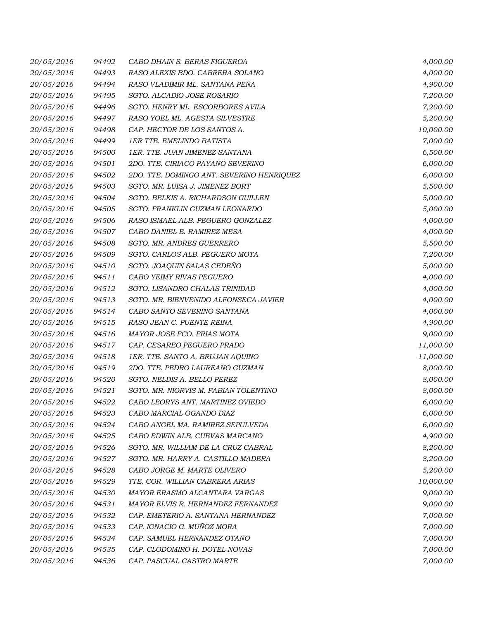| 20/05/2016 | 94492 | CABO DHAIN S. BERAS FIGUEROA              | 4,000.00  |
|------------|-------|-------------------------------------------|-----------|
| 20/05/2016 | 94493 | RASO ALEXIS BDO. CABRERA SOLANO           | 4,000.00  |
| 20/05/2016 | 94494 | RASO VLADIMIR ML. SANTANA PEÑA            | 4,900.00  |
| 20/05/2016 | 94495 | SGTO. ALCADIO JOSE ROSARIO                | 7,200.00  |
| 20/05/2016 | 94496 | SGTO. HENRY ML. ESCORBORES AVILA          | 7,200.00  |
| 20/05/2016 | 94497 | RASO YOEL ML. AGESTA SILVESTRE            | 5,200.00  |
| 20/05/2016 | 94498 | CAP. HECTOR DE LOS SANTOS A.              | 10,000.00 |
| 20/05/2016 | 94499 | <b>1ER TTE, EMELINDO BATISTA</b>          | 7,000.00  |
| 20/05/2016 | 94500 | 1ER. TTE. JUAN JIMENEZ SANTANA            | 6,500.00  |
| 20/05/2016 | 94501 | 2DO. TTE. CIRIACO PAYANO SEVERINO         | 6,000.00  |
| 20/05/2016 | 94502 | 2DO. TTE. DOMINGO ANT. SEVERINO HENRIQUEZ | 6,000.00  |
| 20/05/2016 | 94503 | SGTO. MR. LUISA J. JIMENEZ BORT           | 5,500.00  |
| 20/05/2016 | 94504 | SGTO. BELKIS A. RICHARDSON GUILLEN        | 5,000.00  |
| 20/05/2016 | 94505 | SGTO. FRANKLIN GUZMAN LEONARDO            | 5,000.00  |
| 20/05/2016 | 94506 | RASO ISMAEL ALB. PEGUERO GONZALEZ         | 4,000.00  |
| 20/05/2016 | 94507 | CABO DANIEL E. RAMIREZ MESA               | 4,000.00  |
| 20/05/2016 | 94508 | SGTO. MR. ANDRES GUERRERO                 | 5,500.00  |
| 20/05/2016 | 94509 | SGTO. CARLOS ALB. PEGUERO MOTA            | 7,200.00  |
| 20/05/2016 | 94510 | SGTO. JOAQUIN SALAS CEDEÑO                | 5,000.00  |
| 20/05/2016 | 94511 | CABO YEIMY RIVAS PEGUERO                  | 4,000.00  |
| 20/05/2016 | 94512 | SGTO. LISANDRO CHALAS TRINIDAD            | 4,000.00  |
| 20/05/2016 | 94513 | SGTO. MR. BIENVENIDO ALFONSECA JAVIER     | 4,000.00  |
| 20/05/2016 | 94514 | CABO SANTO SEVERINO SANTANA               | 4,000.00  |
| 20/05/2016 | 94515 | RASO JEAN C. PUENTE REINA                 | 4,900.00  |
| 20/05/2016 | 94516 | MAYOR JOSE FCO. FRIAS MOTA                | 9,000.00  |
| 20/05/2016 | 94517 | CAP. CESAREO PEGUERO PRADO                | 11,000.00 |
| 20/05/2016 | 94518 | 1ER. TTE. SANTO A. BRUJAN AQUINO          | 11,000.00 |
| 20/05/2016 | 94519 | 2DO. TTE. PEDRO LAUREANO GUZMAN           | 8,000.00  |
| 20/05/2016 | 94520 | SGTO. NELDIS A. BELLO PEREZ               | 8,000.00  |
| 20/05/2016 | 94521 | SGTO. MR. NIORVIS M. FABIAN TOLENTINO     | 8,000.00  |
| 20/05/2016 | 94522 | CABO LEORYS ANT. MARTINEZ OVIEDO          | 6,000.00  |
| 20/05/2016 | 94523 | CABO MARCIAL OGANDO DIAZ                  | 6,000.00  |
| 20/05/2016 | 94524 | CABO ANGEL MA. RAMIREZ SEPULVEDA          | 6,000.00  |
| 20/05/2016 | 94525 | CABO EDWIN ALB. CUEVAS MARCANO            | 4,900.00  |
| 20/05/2016 | 94526 | SGTO. MR. WILLIAM DE LA CRUZ CABRAL       | 8,200.00  |
| 20/05/2016 | 94527 | SGTO. MR. HARRY A. CASTILLO MADERA        | 8,200.00  |
| 20/05/2016 | 94528 | CABO JORGE M. MARTE OLIVERO               | 5,200.00  |
| 20/05/2016 | 94529 | TTE. COR. WILLIAN CABRERA ARIAS           | 10,000.00 |
| 20/05/2016 | 94530 | MAYOR ERASMO ALCANTARA VARGAS             | 9,000.00  |
| 20/05/2016 | 94531 | MAYOR ELVIS R. HERNANDEZ FERNANDEZ        | 9,000.00  |
| 20/05/2016 | 94532 | CAP. EMETERIO A. SANTANA HERNANDEZ        | 7,000.00  |
| 20/05/2016 | 94533 | CAP. IGNACIO G. MUÑOZ MORA                | 7,000.00  |
| 20/05/2016 | 94534 | CAP. SAMUEL HERNANDEZ OTAÑO               | 7,000.00  |
| 20/05/2016 | 94535 | CAP. CLODOMIRO H. DOTEL NOVAS             | 7,000.00  |
| 20/05/2016 | 94536 | CAP. PASCUAL CASTRO MARTE                 | 7,000.00  |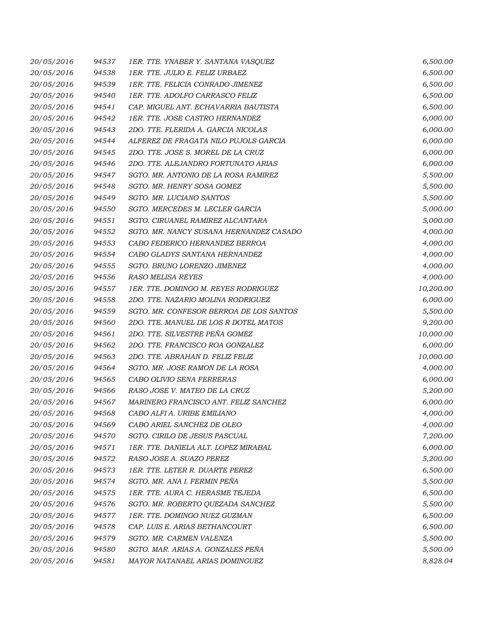| 20/05/2016 | 94537 | 1ER. TTE. YNABER Y. SANTANA VASQUEZ     | 6,500.00  |
|------------|-------|-----------------------------------------|-----------|
| 20/05/2016 | 94538 | 1ER. TTE. JULIO E. FELIZ URBAEZ         | 6,500.00  |
| 20/05/2016 | 94539 | 1ER. TTE. FELICIA CONRADO JIMENEZ       | 6,500.00  |
| 20/05/2016 | 94540 | 1ER. TTE. ADOLFO CARRASCO FELIZ         | 6,500.00  |
| 20/05/2016 | 94541 | CAP. MIGUEL ANT. ECHAVARRIA BAUTISTA    | 6,500.00  |
| 20/05/2016 | 94542 | 1ER. TTE. JOSE CASTRO HERNANDEZ         | 6,000.00  |
| 20/05/2016 | 94543 | 2DO. TTE. FLERIDA A. GARCIA NICOLAS     | 6,000.00  |
| 20/05/2016 | 94544 | ALFEREZ DE FRAGATA NILO PUJOLS GARCIA   | 6,000.00  |
| 20/05/2016 | 94545 | 2DO. TTE. JOSE S. MOREL DE LA CRUZ      | 6,000.00  |
| 20/05/2016 | 94546 | 2DO. TTE. ALEJANDRO FORTUNATO ARIAS     | 6,000.00  |
| 20/05/2016 | 94547 | SGTO. MR. ANTONIO DE LA ROSA RAMIREZ    | 5,500.00  |
| 20/05/2016 | 94548 | SGTO. MR. HENRY SOSA GOMEZ              | 5,500.00  |
| 20/05/2016 | 94549 | SGTO. MR. LUCIANO SANTOS                | 5,500.00  |
| 20/05/2016 | 94550 | SGTO. MERCEDES M. LECLER GARCIA         | 5,000.00  |
| 20/05/2016 | 94551 | SGTO. CIRUANEL RAMIREZ ALCANTARA        | 5,000.00  |
| 20/05/2016 | 94552 | SGTO. MR. NANCY SUSANA HERNANDEZ CASADO | 4,000.00  |
| 20/05/2016 | 94553 | CABO FEDERICO HERNANDEZ BERROA          | 4,000.00  |
| 20/05/2016 | 94554 | CABO GLADYS SANTANA HERNANDEZ           | 4,000.00  |
| 20/05/2016 | 94555 | SGTO. BRUNO LORENZO JIMENEZ             | 4,000.00  |
| 20/05/2016 | 94556 | RASO MELISA REYES                       | 4,000.00  |
| 20/05/2016 | 94557 | 1ER. TTE. DOMINGO M. REYES RODRIGUEZ    | 10,200.00 |
| 20/05/2016 | 94558 | 2DO. TTE. NAZARIO MOLINA RODRIGUEZ      | 6,000.00  |
| 20/05/2016 | 94559 | SGTO. MR. CONFESOR BERROA DE LOS SANTOS | 5,500.00  |
| 20/05/2016 | 94560 | 2DO. TTE. MANUEL DE LOS R DOTEL MATOS   | 9,200.00  |
| 20/05/2016 | 94561 | 2DO. TTE. SILVESTRE PEÑA GOMEZ          | 10,000.00 |
| 20/05/2016 | 94562 | 2DO. TTE. FRANCISCO ROA GONZALEZ        | 6,000.00  |
| 20/05/2016 | 94563 | 2DO. TTE. ABRAHAN D. FELIZ FELIZ        | 10,000.00 |
| 20/05/2016 | 94564 | SGTO. MR. JOSE RAMON DE LA ROSA         | 4,000.00  |
| 20/05/2016 | 94565 | CABO OLIVIO SENA FERRERAS               | 6,000.00  |
| 20/05/2016 | 94566 | RASO JOSE V. MATEO DE LA CRUZ           | 5,200.00  |
| 20/05/2016 | 94567 | MARINERO FRANCISCO ANT. FELIZ SANCHEZ   | 6,000.00  |
| 20/05/2016 | 94568 | CABO ALFI A. URIBE EMILIANO             | 4,000.00  |
| 20/05/2016 | 94569 | CABO ARIEL SANCHEZ DE OLEO              | 4,000.00  |
| 20/05/2016 | 94570 | SGTO. CIRILO DE JESUS PASCUAL           | 7,200.00  |
| 20/05/2016 | 94571 | 1ER. TTE. DANIELA ALT. LOPEZ MIRABAL    | 6,000.00  |
| 20/05/2016 | 94572 | RASO JOSE A. SUAZO PEREZ                | 5,200.00  |
| 20/05/2016 | 94573 | 1ER. TTE. LETER R. DUARTE PEREZ         | 6,500.00  |
| 20/05/2016 | 94574 | SGTO. MR. ANA I. FERMIN PEÑA            | 5,500.00  |
| 20/05/2016 | 94575 | 1ER. TTE. AURA C. HERASME TEJEDA        | 6,500.00  |
| 20/05/2016 | 94576 | SGTO. MR. ROBERTO QUEZADA SANCHEZ       | 5,500.00  |
| 20/05/2016 | 94577 | 1ER. TTE. DOMINGO NUEZ GUZMAN           | 6,500.00  |
| 20/05/2016 | 94578 | CAP. LUIS E. ARIAS BETHANCOURT          | 6,500.00  |
| 20/05/2016 | 94579 | SGTO. MR. CARMEN VALENZA                | 5,500.00  |
| 20/05/2016 | 94580 | SGTO. MAR. ARIAS A. GONZALES PEÑA       | 5,500.00  |
| 20/05/2016 | 94581 | MAYOR NATANAEL ARIAS DOMINGUEZ          | 8,828.04  |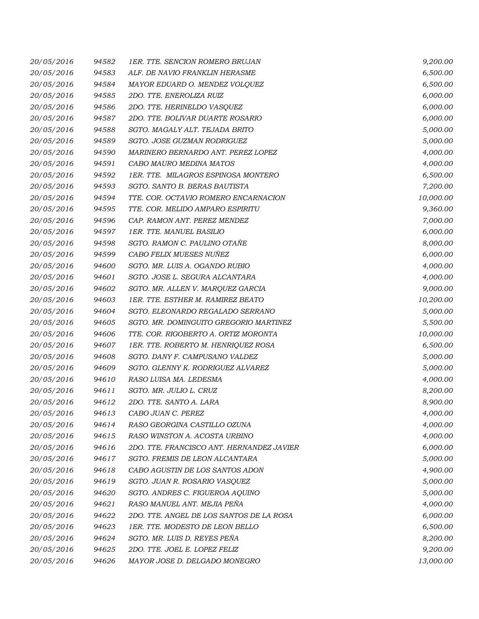| 20/05/2016 | 94582 | 1ER. TTE. SENCION ROMERO BRUJAN           | 9,200.00  |
|------------|-------|-------------------------------------------|-----------|
| 20/05/2016 | 94583 | ALF. DE NAVIO FRANKLIN HERASME            | 6,500.00  |
| 20/05/2016 | 94584 | MAYOR EDUARD O. MENDEZ VOLQUEZ            | 6,500.00  |
| 20/05/2016 | 94585 | 2DO. TTE. ENEROLIZA RUIZ                  | 6,000.00  |
| 20/05/2016 | 94586 | 2DO. TTE. HERINELDO VASQUEZ               | 6,000.00  |
| 20/05/2016 | 94587 | 2DO. TTE. BOLIVAR DUARTE ROSARIO          | 6,000.00  |
| 20/05/2016 | 94588 | SGTO. MAGALY ALT. TEJADA BRITO            | 5,000.00  |
| 20/05/2016 | 94589 | SGTO. JOSE GUZMAN RODRIGUEZ               | 5,000.00  |
| 20/05/2016 | 94590 | MARINERO BERNARDO ANT. PEREZ LOPEZ        | 4,000.00  |
| 20/05/2016 | 94591 | CABO MAURO MEDINA MATOS                   | 4,000.00  |
| 20/05/2016 | 94592 | 1ER. TTE. MILAGROS ESPINOSA MONTERO       | 6,500.00  |
| 20/05/2016 | 94593 | SGTO. SANTO B. BERAS BAUTISTA             | 7,200.00  |
| 20/05/2016 | 94594 | TTE. COR. OCTAVIO ROMERO ENCARNACION      | 10,000.00 |
| 20/05/2016 | 94595 | TTE. COR. MELIDO AMPARO ESPIRITU          | 9,360.00  |
| 20/05/2016 | 94596 | CAP. RAMON ANT. PEREZ MENDEZ              | 7,000.00  |
| 20/05/2016 | 94597 | 1ER. TTE. MANUEL BASILIO                  | 6,000.00  |
| 20/05/2016 | 94598 | SGTO. RAMON C. PAULINO OTAÑE              | 8,000.00  |
| 20/05/2016 | 94599 | CABO FELIX MUESES NUÑEZ                   | 6,000.00  |
| 20/05/2016 | 94600 | SGTO. MR. LUIS A. OGANDO RUBIO            | 4,000.00  |
| 20/05/2016 | 94601 | SGTO. JOSE L. SEGURA ALCANTARA            | 4,000.00  |
| 20/05/2016 | 94602 | SGTO. MR. ALLEN V. MARQUEZ GARCIA         | 9,000.00  |
| 20/05/2016 | 94603 | 1ER. TTE. ESTHER M. RAMIREZ BEATO         | 10,200.00 |
| 20/05/2016 | 94604 | SGTO. ELEONARDO REGALADO SERRANO          | 5,000.00  |
| 20/05/2016 | 94605 | SGTO. MR. DOMINGUITO GREGORIO MARTINEZ    | 5,500.00  |
| 20/05/2016 | 94606 | TTE. COR. RIGOBERTO A. ORTIZ MORONTA      | 10,000.00 |
| 20/05/2016 | 94607 | 1ER. TTE. ROBERTO M. HENRIQUEZ ROSA       | 6,500.00  |
| 20/05/2016 | 94608 | SGTO. DANY F. CAMPUSANO VALDEZ            | 5,000.00  |
| 20/05/2016 | 94609 | SGTO. GLENNY K. RODRIGUEZ ALVAREZ         | 5,000.00  |
| 20/05/2016 | 94610 | RASO LUISA MA. LEDESMA                    | 4,000.00  |
| 20/05/2016 | 94611 | SGTO. MR. JULIO L. CRUZ                   | 8,200.00  |
| 20/05/2016 | 94612 | 2DO. TTE. SANTO A. LARA                   | 8,900.00  |
| 20/05/2016 | 94613 | CABO JUAN C. PEREZ                        | 4,000.00  |
| 20/05/2016 | 94614 | RASO GEORGINA CASTILLO OZUNA              | 4,000.00  |
| 20/05/2016 | 94615 | RASO WINSTON A. ACOSTA URBINO             | 4,000.00  |
| 20/05/2016 | 94616 | 2DO. TTE. FRANCISCO ANT. HERNANDEZ JAVIER | 6,000.00  |
| 20/05/2016 | 94617 | SGTO. FREMIS DE LEON ALCANTARA            | 5,000.00  |
| 20/05/2016 | 94618 | CABO AGUSTIN DE LOS SANTOS ADON           | 4,900.00  |
| 20/05/2016 | 94619 | SGTO. JUAN R. ROSARIO VASQUEZ             | 5,000.00  |
| 20/05/2016 | 94620 | SGTO. ANDRES C. FIGUEROA AQUINO           | 5,000.00  |
| 20/05/2016 | 94621 | RASO MANUEL ANT. MEJIA PEÑA               | 4,000.00  |
| 20/05/2016 | 94622 | 2DO. TTE. ANGEL DE LOS SANTOS DE LA ROSA  | 6,000.00  |
| 20/05/2016 | 94623 | 1ER. TTE. MODESTO DE LEON BELLO           | 6,500.00  |
| 20/05/2016 | 94624 | SGTO. MR. LUIS D. REYES PEÑA              | 8,200.00  |
| 20/05/2016 | 94625 | 2DO. TTE. JOEL E. LOPEZ FELIZ             | 9,200.00  |
| 20/05/2016 | 94626 | MAYOR JOSE D. DELGADO MONEGRO             | 13,000.00 |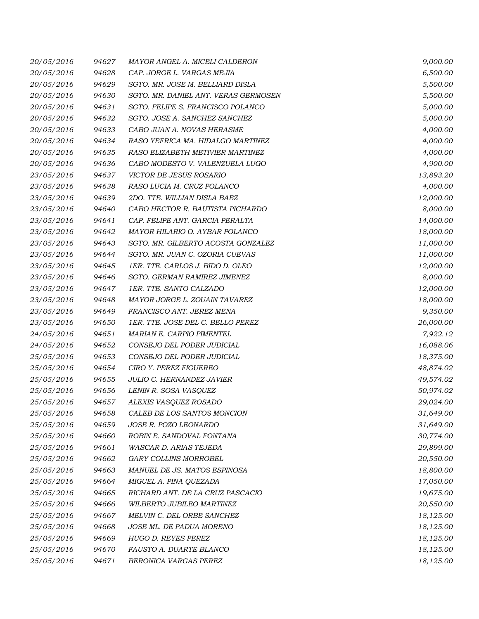| 20/05/2016 | 94627 | MAYOR ANGEL A. MICELI CALDERON       | 9,000.00  |
|------------|-------|--------------------------------------|-----------|
| 20/05/2016 | 94628 | CAP. JORGE L. VARGAS MEJIA           | 6,500.00  |
| 20/05/2016 | 94629 | SGTO. MR. JOSE M. BELLIARD DISLA     | 5,500.00  |
| 20/05/2016 | 94630 | SGTO. MR. DANIEL ANT. VERAS GERMOSEN | 5,500.00  |
| 20/05/2016 | 94631 | SGTO. FELIPE S. FRANCISCO POLANCO    | 5,000.00  |
| 20/05/2016 | 94632 | SGTO. JOSE A. SANCHEZ SANCHEZ        | 5,000.00  |
| 20/05/2016 | 94633 | CABO JUAN A. NOVAS HERASME           | 4,000.00  |
| 20/05/2016 | 94634 | RASO YEFRICA MA. HIDALGO MARTINEZ    | 4,000.00  |
| 20/05/2016 | 94635 | RASO ELIZABETH METIVIER MARTINEZ     | 4,000.00  |
| 20/05/2016 | 94636 | CABO MODESTO V. VALENZUELA LUGO      | 4,900.00  |
| 23/05/2016 | 94637 | VICTOR DE JESUS ROSARIO              | 13,893.20 |
| 23/05/2016 | 94638 | RASO LUCIA M. CRUZ POLANCO           | 4,000.00  |
| 23/05/2016 | 94639 | 2DO. TTE. WILLIAN DISLA BAEZ         | 12,000.00 |
| 23/05/2016 | 94640 | CABO HECTOR R. BAUTISTA PICHARDO     | 8,000.00  |
| 23/05/2016 | 94641 | CAP. FELIPE ANT. GARCIA PERALTA      | 14,000.00 |
| 23/05/2016 | 94642 | MAYOR HILARIO O. AYBAR POLANCO       | 18,000.00 |
| 23/05/2016 | 94643 | SGTO. MR. GILBERTO ACOSTA GONZALEZ   | 11,000.00 |
| 23/05/2016 | 94644 | SGTO. MR. JUAN C. OZORIA CUEVAS      | 11,000.00 |
| 23/05/2016 | 94645 | 1ER. TTE. CARLOS J. BIDO D. OLEO     | 12,000.00 |
| 23/05/2016 | 94646 | SGTO. GERMAN RAMIREZ JIMENEZ         | 8,000.00  |
| 23/05/2016 | 94647 | 1ER. TTE. SANTO CALZADO              | 12,000.00 |
| 23/05/2016 | 94648 | MAYOR JORGE L. ZOUAIN TAVAREZ        | 18,000.00 |
| 23/05/2016 | 94649 | FRANCISCO ANT. JEREZ MENA            | 9,350.00  |
| 23/05/2016 | 94650 | 1ER. TTE. JOSE DEL C. BELLO PEREZ    | 26,000.00 |
| 24/05/2016 | 94651 | MARIAN E. CARPIO PIMENTEL            | 7,922.12  |
| 24/05/2016 | 94652 | CONSEJO DEL PODER JUDICIAL           | 16,088.06 |
| 25/05/2016 | 94653 | CONSEJO DEL PODER JUDICIAL           | 18,375.00 |
| 25/05/2016 | 94654 | CIRO Y. PEREZ FIGUEREO               | 48,874.02 |
| 25/05/2016 | 94655 | JULIO C. HERNANDEZ JAVIER            | 49,574.02 |
| 25/05/2016 | 94656 | LENIN R. SOSA VASQUEZ                | 50,974.02 |
| 25/05/2016 | 94657 | ALEXIS VASQUEZ ROSADO                | 29,024.00 |
| 25/05/2016 | 94658 | CALEB DE LOS SANTOS MONCION          | 31,649.00 |
| 25/05/2016 | 94659 | JOSE R. POZO LEONARDO                | 31,649.00 |
| 25/05/2016 | 94660 | ROBIN E. SANDOVAL FONTANA            | 30,774.00 |
| 25/05/2016 | 94661 | WASCAR D. ARIAS TEJEDA               | 29,899.00 |
| 25/05/2016 | 94662 | GARY COLLINS MORROBEL                | 20,550.00 |
| 25/05/2016 | 94663 | MANUEL DE JS. MATOS ESPINOSA         | 18,800.00 |
| 25/05/2016 | 94664 | MIGUEL A. PINA QUEZADA               | 17,050.00 |
| 25/05/2016 | 94665 | RICHARD ANT. DE LA CRUZ PASCACIO     | 19,675.00 |
| 25/05/2016 | 94666 | WILBERTO JUBILEO MARTINEZ            | 20,550.00 |
| 25/05/2016 | 94667 | MELVIN C. DEL ORBE SANCHEZ           | 18,125.00 |
| 25/05/2016 | 94668 | JOSE ML. DE PADUA MORENO             | 18,125.00 |
| 25/05/2016 | 94669 | HUGO D. REYES PEREZ                  | 18,125.00 |
| 25/05/2016 | 94670 | FAUSTO A. DUARTE BLANCO              | 18,125.00 |
| 25/05/2016 | 94671 | BERONICA VARGAS PEREZ                | 18,125.00 |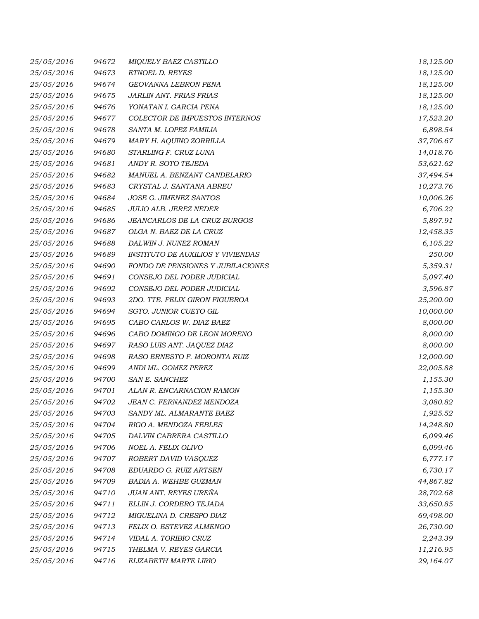| 25/05/2016 | 94672 | MIQUELY BAEZ CASTILLO                    | 18,125.00 |
|------------|-------|------------------------------------------|-----------|
| 25/05/2016 | 94673 | ETNOEL D. REYES                          | 18,125.00 |
| 25/05/2016 | 94674 | GEOVANNA LEBRON PENA                     | 18,125.00 |
| 25/05/2016 | 94675 | <b>JARLIN ANT. FRIAS FRIAS</b>           | 18,125.00 |
| 25/05/2016 | 94676 | YONATAN I. GARCIA PENA                   | 18,125.00 |
| 25/05/2016 | 94677 | COLECTOR DE IMPUESTOS INTERNOS           | 17,523.20 |
| 25/05/2016 | 94678 | SANTA M. LOPEZ FAMILIA                   | 6,898.54  |
| 25/05/2016 | 94679 | MARY H. AQUINO ZORRILLA                  | 37,706.67 |
| 25/05/2016 | 94680 | STARLING F. CRUZ LUNA                    | 14,018.76 |
| 25/05/2016 | 94681 | ANDY R. SOTO TEJEDA                      | 53,621.62 |
| 25/05/2016 | 94682 | MANUEL A. BENZANT CANDELARIO             | 37,494.54 |
| 25/05/2016 | 94683 | CRYSTAL J. SANTANA ABREU                 | 10,273.76 |
| 25/05/2016 | 94684 | JOSE G. JIMENEZ SANTOS                   | 10,006.26 |
| 25/05/2016 | 94685 | JULIO ALB. JEREZ NEDER                   | 6,706.22  |
| 25/05/2016 | 94686 | JEANCARLOS DE LA CRUZ BURGOS             | 5,897.91  |
| 25/05/2016 | 94687 | OLGA N. BAEZ DE LA CRUZ                  | 12,458.35 |
| 25/05/2016 | 94688 | DALWIN J. NUÑEZ ROMAN                    | 6,105.22  |
| 25/05/2016 | 94689 | <b>INSTITUTO DE AUXILIOS Y VIVIENDAS</b> | 250.00    |
| 25/05/2016 | 94690 | FONDO DE PENSIONES Y JUBILACIONES        | 5,359.31  |
| 25/05/2016 | 94691 | CONSEJO DEL PODER JUDICIAL               | 5,097.40  |
| 25/05/2016 | 94692 | CONSEJO DEL PODER JUDICIAL               | 3,596.87  |
| 25/05/2016 | 94693 | 2DO. TTE. FELIX GIRON FIGUEROA           | 25,200.00 |
| 25/05/2016 | 94694 | SGTO. JUNIOR CUETO GIL                   | 10,000.00 |
| 25/05/2016 | 94695 | CABO CARLOS W. DIAZ BAEZ                 | 8,000.00  |
| 25/05/2016 | 94696 | CABO DOMINGO DE LEON MORENO              | 8,000.00  |
| 25/05/2016 | 94697 | RASO LUIS ANT. JAQUEZ DIAZ               | 8,000.00  |
| 25/05/2016 | 94698 | RASO ERNESTO F. MORONTA RUIZ             | 12,000.00 |
| 25/05/2016 | 94699 | ANDI ML. GOMEZ PEREZ                     | 22,005.88 |
| 25/05/2016 | 94700 | SAN E. SANCHEZ                           | 1,155.30  |
| 25/05/2016 | 94701 | ALAN R. ENCARNACION RAMON                | 1,155.30  |
| 25/05/2016 | 94702 | JEAN C. FERNANDEZ MENDOZA                | 3,080.82  |
| 25/05/2016 | 94703 | SANDY ML. ALMARANTE BAEZ                 | 1,925.52  |
| 25/05/2016 | 94704 | RIGO A. MENDOZA FEBLES                   | 14,248.80 |
| 25/05/2016 | 94705 | DALVIN CABRERA CASTILLO                  | 6,099.46  |
| 25/05/2016 | 94706 | NOEL A. FELIX OLIVO                      | 6,099.46  |
| 25/05/2016 | 94707 | ROBERT DAVID VASQUEZ                     | 6,777.17  |
| 25/05/2016 | 94708 | EDUARDO G. RUIZ ARTSEN                   | 6,730.17  |
| 25/05/2016 | 94709 | BADIA A. WEHBE GUZMAN                    | 44,867.82 |
| 25/05/2016 | 94710 | JUAN ANT. REYES UREÑA                    | 28,702.68 |
| 25/05/2016 | 94711 | ELLIN J. CORDERO TEJADA                  | 33,650.85 |
| 25/05/2016 | 94712 | MIGUELINA D. CRESPO DIAZ                 | 69,498.00 |
| 25/05/2016 | 94713 | FELIX O. ESTEVEZ ALMENGO                 | 26,730.00 |
| 25/05/2016 | 94714 | VIDAL A. TORIBIO CRUZ                    | 2,243.39  |
| 25/05/2016 | 94715 | THELMA V. REYES GARCIA                   | 11,216.95 |
| 25/05/2016 | 94716 | ELIZABETH MARTE LIRIO                    | 29,164.07 |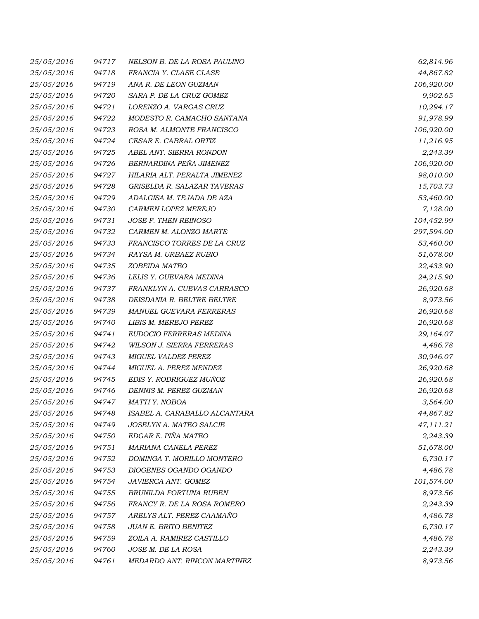| 25/05/2016 | 94717 | NELSON B. DE LA ROSA PAULINO     | 62,814.96  |
|------------|-------|----------------------------------|------------|
| 25/05/2016 | 94718 | FRANCIA Y. CLASE CLASE           | 44,867.82  |
| 25/05/2016 | 94719 | ANA R. DE LEON GUZMAN            | 106,920.00 |
| 25/05/2016 | 94720 | SARA P. DE LA CRUZ GOMEZ         | 9,902.65   |
| 25/05/2016 | 94721 | LORENZO A. VARGAS CRUZ           | 10,294.17  |
| 25/05/2016 | 94722 | MODESTO R. CAMACHO SANTANA       | 91,978.99  |
| 25/05/2016 | 94723 | ROSA M. ALMONTE FRANCISCO        | 106,920.00 |
| 25/05/2016 | 94724 | CESAR E. CABRAL ORTIZ            | 11,216.95  |
| 25/05/2016 | 94725 | ABEL ANT. SIERRA RONDON          | 2,243.39   |
| 25/05/2016 | 94726 | BERNARDINA PEÑA JIMENEZ          | 106,920.00 |
| 25/05/2016 | 94727 | HILARIA ALT. PERALTA JIMENEZ     | 98,010.00  |
| 25/05/2016 | 94728 | GRISELDA R. SALAZAR TAVERAS      | 15,703.73  |
| 25/05/2016 | 94729 | ADALGISA M. TEJADA DE AZA        | 53,460.00  |
| 25/05/2016 | 94730 | CARMEN LOPEZ MEREJO              | 7,128.00   |
| 25/05/2016 | 94731 | JOSE F. THEN REINOSO             | 104,452.99 |
| 25/05/2016 | 94732 | CARMEN M. ALONZO MARTE           | 297,594.00 |
| 25/05/2016 | 94733 | FRANCISCO TORRES DE LA CRUZ      | 53,460.00  |
| 25/05/2016 | 94734 | RAYSA M. URBAEZ RUBIO            | 51,678.00  |
| 25/05/2016 | 94735 | ZOBEIDA MATEO                    | 22,433.90  |
| 25/05/2016 | 94736 | LELIS Y. GUEVARA MEDINA          | 24,215.90  |
| 25/05/2016 | 94737 | FRANKLYN A. CUEVAS CARRASCO      | 26,920.68  |
| 25/05/2016 | 94738 | DEISDANIA R. BELTRE BELTRE       | 8,973.56   |
| 25/05/2016 | 94739 | MANUEL GUEVARA FERRERAS          | 26,920.68  |
| 25/05/2016 | 94740 | LIBIS M. MEREJO PEREZ            | 26,920.68  |
| 25/05/2016 | 94741 | EUDOCIO FERRERAS MEDINA          | 29,164.07  |
| 25/05/2016 | 94742 | <b>WILSON J. SIERRA FERRERAS</b> | 4,486.78   |
| 25/05/2016 | 94743 | MIGUEL VALDEZ PEREZ              | 30,946.07  |
| 25/05/2016 | 94744 | MIGUEL A. PEREZ MENDEZ           | 26,920.68  |
| 25/05/2016 | 94745 | EDIS Y. RODRIGUEZ MUÑOZ          | 26,920.68  |
| 25/05/2016 | 94746 | DENNIS M. PEREZ GUZMAN           | 26,920.68  |
| 25/05/2016 | 94747 | MATTI Y. NOBOA                   | 3,564.00   |
| 25/05/2016 | 94748 | ISABEL A. CARABALLO ALCANTARA    | 44,867.82  |
| 25/05/2016 | 94749 | JOSELYN A. MATEO SALCIE          | 47,111.21  |
| 25/05/2016 | 94750 | EDGAR E. PIÑA MATEO              | 2,243.39   |
| 25/05/2016 | 94751 | MARIANA CANELA PEREZ             | 51,678.00  |
| 25/05/2016 | 94752 | DOMINGA T. MORILLO MONTERO       | 6,730.17   |
| 25/05/2016 | 94753 | DIOGENES OGANDO OGANDO           | 4,486.78   |
| 25/05/2016 | 94754 | JAVIERCA ANT. GOMEZ              | 101,574.00 |
| 25/05/2016 | 94755 | BRUNILDA FORTUNA RUBEN           | 8,973.56   |
| 25/05/2016 | 94756 | FRANCY R. DE LA ROSA ROMERO      | 2,243.39   |
| 25/05/2016 | 94757 | ARELYS ALT. PEREZ CAAMAÑO        | 4,486.78   |
| 25/05/2016 | 94758 | JUAN E. BRITO BENITEZ            | 6,730.17   |
| 25/05/2016 | 94759 | ZOILA A. RAMIREZ CASTILLO        | 4,486.78   |
| 25/05/2016 | 94760 | JOSE M. DE LA ROSA               | 2,243.39   |
| 25/05/2016 | 94761 | MEDARDO ANT. RINCON MARTINEZ     | 8,973.56   |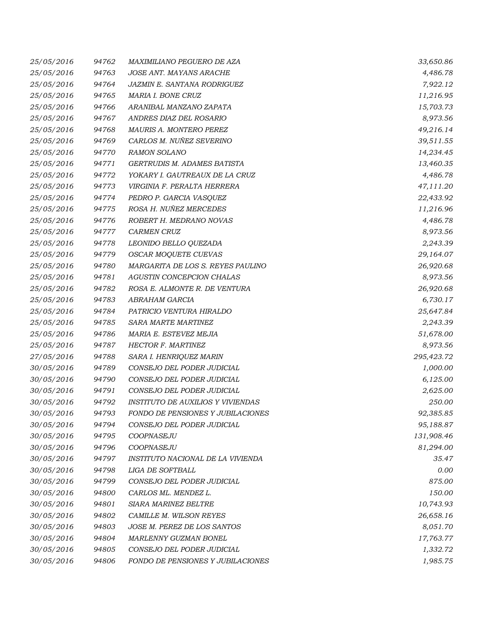| 25/05/2016 | 94762 | MAXIMILIANO PEGUERO DE AZA               | 33,650.86  |
|------------|-------|------------------------------------------|------------|
| 25/05/2016 | 94763 | JOSE ANT. MAYANS ARACHE                  | 4,486.78   |
| 25/05/2016 | 94764 | JAZMIN E. SANTANA RODRIGUEZ              | 7,922.12   |
| 25/05/2016 | 94765 | MARIA I. BONE CRUZ                       | 11,216.95  |
| 25/05/2016 | 94766 | ARANIBAL MANZANO ZAPATA                  | 15,703.73  |
| 25/05/2016 | 94767 | ANDRES DIAZ DEL ROSARIO                  | 8,973.56   |
| 25/05/2016 | 94768 | MAURIS A. MONTERO PEREZ                  | 49,216.14  |
| 25/05/2016 | 94769 | CARLOS M. NUÑEZ SEVERINO                 | 39,511.55  |
| 25/05/2016 | 94770 | <b>RAMON SOLANO</b>                      | 14,234.45  |
| 25/05/2016 | 94771 | <b>GERTRUDIS M. ADAMES BATISTA</b>       | 13,460.35  |
| 25/05/2016 | 94772 | YOKARY I. GAUTREAUX DE LA CRUZ           | 4,486.78   |
| 25/05/2016 | 94773 | VIRGINIA F. PERALTA HERRERA              | 47,111.20  |
| 25/05/2016 | 94774 | PEDRO P. GARCIA VASQUEZ                  | 22,433.92  |
| 25/05/2016 | 94775 | ROSA H. NUÑEZ MERCEDES                   | 11,216.96  |
| 25/05/2016 | 94776 | ROBERT H. MEDRANO NOVAS                  | 4,486.78   |
| 25/05/2016 | 94777 | <b>CARMEN CRUZ</b>                       | 8,973.56   |
| 25/05/2016 | 94778 | LEONIDO BELLO QUEZADA                    | 2,243.39   |
| 25/05/2016 | 94779 | <b>OSCAR MOQUETE CUEVAS</b>              | 29,164.07  |
| 25/05/2016 | 94780 | MARGARITA DE LOS S. REYES PAULINO        | 26,920.68  |
| 25/05/2016 | 94781 | AGUSTIN CONCEPCION CHALAS                | 8,973.56   |
| 25/05/2016 | 94782 | ROSA E. ALMONTE R. DE VENTURA            | 26,920.68  |
| 25/05/2016 | 94783 | ABRAHAM GARCIA                           | 6,730.17   |
| 25/05/2016 | 94784 | PATRICIO VENTURA HIRALDO                 | 25,647.84  |
| 25/05/2016 | 94785 | SARA MARTE MARTINEZ                      | 2,243.39   |
| 25/05/2016 | 94786 | MARIA E. ESTEVEZ MEJIA                   | 51,678.00  |
| 25/05/2016 | 94787 | <b>HECTOR F. MARTINEZ</b>                | 8,973.56   |
| 27/05/2016 | 94788 | SARA I. HENRIQUEZ MARIN                  | 295,423.72 |
| 30/05/2016 | 94789 | CONSEJO DEL PODER JUDICIAL               | 1,000.00   |
| 30/05/2016 | 94790 | CONSEJO DEL PODER JUDICIAL               | 6,125.00   |
| 30/05/2016 | 94791 | CONSEJO DEL PODER JUDICIAL               | 2,625.00   |
| 30/05/2016 | 94792 | <b>INSTITUTO DE AUXILIOS Y VIVIENDAS</b> | 250.00     |
| 30/05/2016 | 94793 | FONDO DE PENSIONES Y JUBILACIONES        | 92,385.85  |
| 30/05/2016 | 94794 | CONSEJO DEL PODER JUDICIAL               | 95,188.87  |
| 30/05/2016 | 94795 | COOPNASEJU                               | 131,908.46 |
| 30/05/2016 | 94796 | COOPNASEJU                               | 81,294.00  |
| 30/05/2016 | 94797 | INSTITUTO NACIONAL DE LA VIVIENDA        | 35.47      |
| 30/05/2016 | 94798 | LIGA DE SOFTBALL                         | 0.00       |
| 30/05/2016 | 94799 | CONSEJO DEL PODER JUDICIAL               | 875.00     |
| 30/05/2016 | 94800 | CARLOS ML. MENDEZ L.                     | 150.00     |
| 30/05/2016 | 94801 | <b>SIARA MARINEZ BELTRE</b>              | 10,743.93  |
| 30/05/2016 | 94802 | CAMILLE M. WILSON REYES                  | 26,658.16  |
| 30/05/2016 | 94803 | JOSE M. PEREZ DE LOS SANTOS              | 8,051.70   |
| 30/05/2016 | 94804 | MARLENNY GUZMAN BONEL                    | 17,763.77  |
| 30/05/2016 | 94805 | CONSEJO DEL PODER JUDICIAL               | 1,332.72   |
| 30/05/2016 | 94806 | FONDO DE PENSIONES Y JUBILACIONES        | 1,985.75   |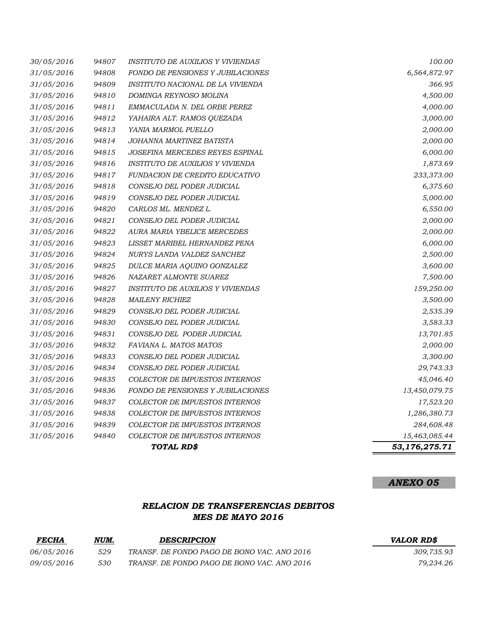|                          |                | TOTAL RD\$                                                             | 53,176,275.71          |
|--------------------------|----------------|------------------------------------------------------------------------|------------------------|
| 31/05/2016               | 94840          | COLECTOR DE IMPUESTOS INTERNOS                                         | 15,463,085.44          |
| 31/05/2016               | 94839          | COLECTOR DE IMPUESTOS INTERNOS                                         | 284,608.48             |
| 31/05/2016               | 94838          | COLECTOR DE IMPUESTOS INTERNOS                                         | 1,286,380.73           |
| 31/05/2016               | 94837          | <b>COLECTOR DE IMPUESTOS INTERNOS</b>                                  | 17,523.20              |
| 31/05/2016               | 94836          | FONDO DE PENSIONES Y JUBILACIONES                                      | 13,450,079.75          |
| 31/05/2016               | 94835          | COLECTOR DE IMPUESTOS INTERNOS                                         | 45,046.40              |
| 31/05/2016               | 94834          | CONSEJO DEL PODER JUDICIAL                                             | 29,743.33              |
| 31/05/2016               | 94833          | CONSEJO DEL PODER JUDICIAL                                             | 3,300.00               |
| 31/05/2016               | 94832          | FAVIANA L. MATOS MATOS                                                 | 2,000.00               |
| 31/05/2016               | 94831          | CONSEJO DEL PODER JUDICIAL                                             | 13,701.85              |
| 31/05/2016               | 94830          | CONSEJO DEL PODER JUDICIAL                                             | 3,583.33               |
| 31/05/2016               | 94829          | CONSEJO DEL PODER JUDICIAL                                             | 2,535.39               |
| 31/05/2016               | 94828          | <b>MAILENY RICHIEZ</b>                                                 | 3,500.00               |
| 31/05/2016               | 94827          | <b>INSTITUTO DE AUXILIOS Y VIVIENDAS</b>                               | 159,250.00             |
| 31/05/2016               | 94826          | NAZARET ALMONTE SUAREZ                                                 | 7,500.00               |
| 31/05/2016               | 94825          | DULCE MARIA AQUINO GONZALEZ                                            | 3,600.00               |
| 31/05/2016               | 94824          | NURYS LANDA VALDEZ SANCHEZ                                             | 2,500.00               |
| 31/05/2016               | 94823          | LISSET MARIBEL HERNANDEZ PENA                                          | 6,000.00               |
| 31/05/2016               | 94822          | AURA MARIA YBELICE MERCEDES                                            | 2,000.00               |
| 31/05/2016               | 94821          | CONSEJO DEL PODER JUDICIAL                                             | 2,000.00               |
| 31/05/2016               | 94820          | CARLOS ML. MENDEZ L.                                                   | 6,550.00               |
| 31/05/2016               | 94819          | CONSEJO DEL PODER JUDICIAL                                             | 5,000.00               |
| 31/05/2016               | 94818          | CONSEJO DEL PODER JUDICIAL                                             | 6,375.60               |
| 31/05/2016               | 94817          | <b>FUNDACION DE CREDITO EDUCATIVO</b>                                  | 233,373.00             |
| 31/05/2016               | 94816          | INSTITUTO DE AUXILIOS Y VIVIENDA                                       | 1,873.69               |
| 31/05/2016               | 94815          | JOSEFINA MERCEDES REYES ESPINAL                                        | 6,000.00               |
| 31/05/2016               | 94814          | JOHANNA MARTINEZ BATISTA                                               | 2,000.00               |
| 31/05/2016               | 94813          | YANIA MARMOL PUELLO                                                    | 2,000.00               |
| 31/05/2016               | 94812          | YAHAIRA ALT. RAMOS QUEZADA                                             | 3,000.00               |
| 31/05/2016               | 94811          | EMMACULADA N. DEL ORBE PEREZ                                           | 4,000.00               |
| 31/05/2016               | 94810          | DOMINGA REYNOSO MOLINA                                                 | 4,500.00               |
| 31/05/2016<br>31/05/2016 | 94808<br>94809 | FONDO DE PENSIONES Y JUBILACIONES<br>INSTITUTO NACIONAL DE LA VIVIENDA | 6,564,872.97<br>366.95 |
|                          |                |                                                                        |                        |
| 30/05/2016               | 94807          | <b>INSTITUTO DE AUXILIOS Y VIVIENDAS</b>                               | 100.00                 |

# *RELACION DE TRANSFERENCIAS DEBITOS MES DE MAYO 2016*

| <b>FECHA</b>      | NUM. | <b>DESCRIPCION</b>                          | <b>VALOR RDS</b> |
|-------------------|------|---------------------------------------------|------------------|
| <i>06/05/2016</i> | 529  | TRANSF. DE FONDO PAGO DE BONO VAC. ANO 2016 | 309.735.93       |
| <i>09/05/2016</i> | 530  | TRANSF. DE FONDO PAGO DE BONO VAC. ANO 2016 | 79.234.26        |